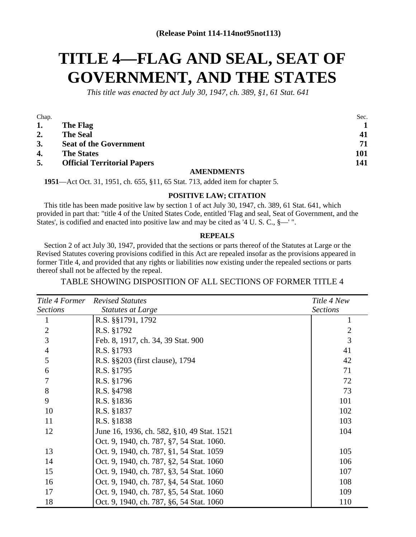# **TITLE 4—FLAG AND SEAL, SEAT OF GOVERNMENT, AND THE STATES**

*This title was enacted by act July 30, 1947, ch. 389, §1, 61 Stat. 641*

|                                    | Sec. |
|------------------------------------|------|
| The Flag                           |      |
| <b>The Seal</b>                    | 41   |
| <b>Seat of the Government</b>      | 71   |
| <b>The States</b>                  | 101  |
| <b>Official Territorial Papers</b> | 141  |
|                                    |      |

#### **AMENDMENTS**

**1951**—Act Oct. 31, 1951, ch. 655, §11, 65 Stat. 713, added item for chapter 5.

#### **POSITIVE LAW; CITATION**

This title has been made positive law by section 1 of act July 30, 1947, ch. 389, 61 Stat. 641, which provided in part that: "title 4 of the United States Code, entitled 'Flag and seal, Seat of Government, and the States', is codified and enacted into positive law and may be cited as '4 U. S. C., §—'".

#### **REPEALS**

Section 2 of act July 30, 1947, provided that the sections or parts thereof of the Statutes at Large or the Revised Statutes covering provisions codified in this Act are repealed insofar as the provisions appeared in former Title 4, and provided that any rights or liabilities now existing under the repealed sections or parts thereof shall not be affected by the repeal.

### TABLE SHOWING DISPOSITION OF ALL SECTIONS OF FORMER TITLE 4

| Title 4 Former  | <b>Revised Statutes</b>                    | Title 4 New     |
|-----------------|--------------------------------------------|-----------------|
| <b>Sections</b> | Statutes at Large                          | <b>Sections</b> |
|                 | R.S. §§1791, 1792                          |                 |
| $\overline{2}$  | R.S. §1792                                 | $\overline{2}$  |
| 3               | Feb. 8, 1917, ch. 34, 39 Stat. 900         | 3               |
| $\overline{4}$  | R.S. §1793                                 | 41              |
| 5               | R.S. §§203 (first clause), 1794            | 42              |
| 6               | R.S. §1795                                 | 71              |
| 7               | R.S. §1796                                 | 72              |
| 8               | R.S. §4798                                 | 73              |
| 9               | R.S. §1836                                 | 101             |
| 10              | R.S. §1837                                 | 102             |
| 11              | R.S. §1838                                 | 103             |
| 12              | June 16, 1936, ch. 582, §10, 49 Stat. 1521 | 104             |
|                 | Oct. 9, 1940, ch. 787, §7, 54 Stat. 1060.  |                 |
| 13              | Oct. 9, 1940, ch. 787, §1, 54 Stat. 1059   | 105             |
| 14              | Oct. 9, 1940, ch. 787, §2, 54 Stat. 1060   | 106             |
| 15              | Oct. 9, 1940, ch. 787, §3, 54 Stat. 1060   | 107             |
| 16              | Oct. 9, 1940, ch. 787, §4, 54 Stat. 1060   | 108             |
| 17              | Oct. 9, 1940, ch. 787, §5, 54 Stat. 1060   | 109             |
| 18              | Oct. 9, 1940, ch. 787, §6, 54 Stat. 1060   | 110             |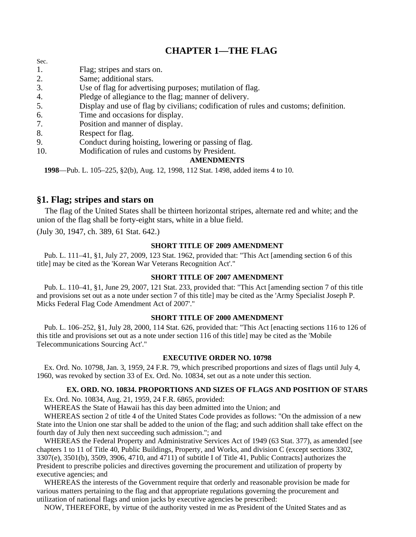# **CHAPTER 1—THE FLAG**

- 1. Flag; stripes and stars on.
- 2. Same; additional stars.

Sec.

- 3. Use of flag for advertising purposes; mutilation of flag.
- 4. Pledge of allegiance to the flag; manner of delivery.
- 5. Display and use of flag by civilians; codification of rules and customs; definition.
- 6. Time and occasions for display.
- 7. Position and manner of display.
- 8. Respect for flag.
- 9. Conduct during hoisting, lowering or passing of flag.
- 10. Modification of rules and customs by President.

### **AMENDMENTS**

**1998**—Pub. L. 105–225, §2(b), Aug. 12, 1998, 112 Stat. 1498, added items 4 to 10.

# **§1. Flag; stripes and stars on**

The flag of the United States shall be thirteen horizontal stripes, alternate red and white; and the union of the flag shall be forty-eight stars, white in a blue field.

(July 30, 1947, ch. 389, 61 Stat. 642.)

# **SHORT TITLE OF 2009 AMENDMENT**

Pub. L. 111–41, §1, July 27, 2009, 123 Stat. 1962, provided that: "This Act [amending section 6 of this title] may be cited as the 'Korean War Veterans Recognition Act'."

#### **SHORT TITLE OF 2007 AMENDMENT**

Pub. L. 110–41, §1, June 29, 2007, 121 Stat. 233, provided that: "This Act [amending section 7 of this title and provisions set out as a note under section 7 of this title] may be cited as the 'Army Specialist Joseph P. Micks Federal Flag Code Amendment Act of 2007'."

#### **SHORT TITLE OF 2000 AMENDMENT**

Pub. L. 106–252, §1, July 28, 2000, 114 Stat. 626, provided that: "This Act [enacting sections 116 to 126 of this title and provisions set out as a note under section 116 of this title] may be cited as the 'Mobile Telecommunications Sourcing Act'."

# **EXECUTIVE ORDER NO. 10798**

Ex. Ord. No. 10798, Jan. 3, 1959, 24 F.R. 79, which prescribed proportions and sizes of flags until July 4, 1960, was revoked by section 33 of Ex. Ord. No. 10834, set out as a note under this section.

#### **EX. ORD. NO. 10834. PROPORTIONS AND SIZES OF FLAGS AND POSITION OF STARS**

Ex. Ord. No. 10834, Aug. 21, 1959, 24 F.R. 6865, provided:

WHEREAS the State of Hawaii has this day been admitted into the Union; and

WHEREAS section 2 of title 4 of the United States Code provides as follows: "On the admission of a new State into the Union one star shall be added to the union of the flag; and such addition shall take effect on the fourth day of July then next succeeding such admission."; and

WHEREAS the Federal Property and Administrative Services Act of 1949 (63 Stat. 377), as amended [see chapters 1 to 11 of Title 40, Public Buildings, Property, and Works, and division C (except sections 3302, 3307(e), 3501(b), 3509, 3906, 4710, and 4711) of subtitle I of Title 41, Public Contracts] authorizes the President to prescribe policies and directives governing the procurement and utilization of property by executive agencies; and

WHEREAS the interests of the Government require that orderly and reasonable provision be made for various matters pertaining to the flag and that appropriate regulations governing the procurement and utilization of national flags and union jacks by executive agencies be prescribed:

NOW, THEREFORE, by virtue of the authority vested in me as President of the United States and as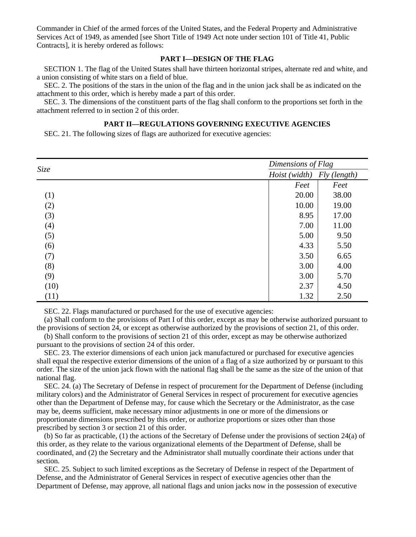Commander in Chief of the armed forces of the United States, and the Federal Property and Administrative Services Act of 1949, as amended [see Short Title of 1949 Act note under section 101 of Title 41, Public Contracts], it is hereby ordered as follows:

#### **PART I—DESIGN OF THE FLAG**

SECTION 1. The flag of the United States shall have thirteen horizontal stripes, alternate red and white, and a union consisting of white stars on a field of blue.

SEC. 2. The positions of the stars in the union of the flag and in the union jack shall be as indicated on the attachment to this order, which is hereby made a part of this order.

SEC. 3. The dimensions of the constituent parts of the flag shall conform to the proportions set forth in the attachment referred to in section 2 of this order.

#### **PART II—REGULATIONS GOVERNING EXECUTIVE AGENCIES**

SEC. 21. The following sizes of flags are authorized for executive agencies:

|                                    | Dimensions of Flag |  |  |  |
|------------------------------------|--------------------|--|--|--|
| Size<br>Hoist (width) Fly (length) |                    |  |  |  |
|                                    | Feet<br>Feet       |  |  |  |
| (1)                                | 20.00<br>38.00     |  |  |  |
| (2)                                | 10.00<br>19.00     |  |  |  |
| (3)                                | 8.95<br>17.00      |  |  |  |
| (4)                                | 7.00<br>11.00      |  |  |  |
| (5)                                | 5.00<br>9.50       |  |  |  |
| (6)                                | 4.33<br>5.50       |  |  |  |
| (7)                                | 3.50<br>6.65       |  |  |  |
| (8)                                | 3.00<br>4.00       |  |  |  |
| (9)                                | 3.00<br>5.70       |  |  |  |
| (10)                               | 2.37<br>4.50       |  |  |  |
| (11)                               | 1.32<br>2.50       |  |  |  |

SEC. 22. Flags manufactured or purchased for the use of executive agencies:

(a) Shall conform to the provisions of Part I of this order, except as may be otherwise authorized pursuant to the provisions of section 24, or except as otherwise authorized by the provisions of section 21, of this order.

(b) Shall conform to the provisions of section 21 of this order, except as may be otherwise authorized pursuant to the provisions of section 24 of this order.

SEC. 23. The exterior dimensions of each union jack manufactured or purchased for executive agencies shall equal the respective exterior dimensions of the union of a flag of a size authorized by or pursuant to this order. The size of the union jack flown with the national flag shall be the same as the size of the union of that national flag.

SEC. 24. (a) The Secretary of Defense in respect of procurement for the Department of Defense (including military colors) and the Administrator of General Services in respect of procurement for executive agencies other than the Department of Defense may, for cause which the Secretary or the Administrator, as the case may be, deems sufficient, make necessary minor adjustments in one or more of the dimensions or proportionate dimensions prescribed by this order, or authorize proportions or sizes other than those prescribed by section 3 or section 21 of this order.

(b) So far as practicable, (1) the actions of the Secretary of Defense under the provisions of section 24(a) of this order, as they relate to the various organizational elements of the Department of Defense, shall be coordinated, and (2) the Secretary and the Administrator shall mutually coordinate their actions under that section.

SEC. 25. Subject to such limited exceptions as the Secretary of Defense in respect of the Department of Defense, and the Administrator of General Services in respect of executive agencies other than the Department of Defense, may approve, all national flags and union jacks now in the possession of executive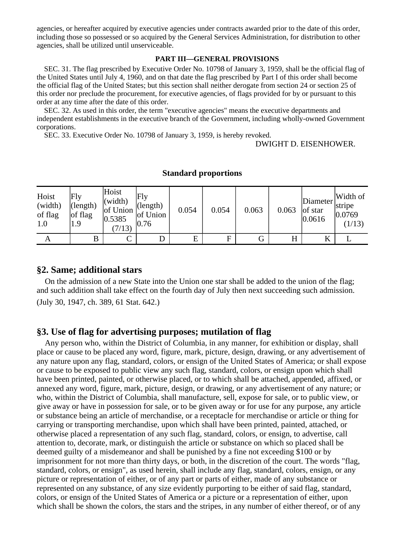agencies, or hereafter acquired by executive agencies under contracts awarded prior to the date of this order, including those so possessed or so acquired by the General Services Administration, for distribution to other agencies, shall be utilized until unserviceable.

#### **PART III—GENERAL PROVISIONS**

SEC. 31. The flag prescribed by Executive Order No. 10798 of January 3, 1959, shall be the official flag of the United States until July 4, 1960, and on that date the flag prescribed by Part I of this order shall become the official flag of the United States; but this section shall neither derogate from section 24 or section 25 of this order nor preclude the procurement, for executive agencies, of flags provided for by or pursuant to this order at any time after the date of this order.

SEC. 32. As used in this order, the term "executive agencies" means the executive departments and independent establishments in the executive branch of the Government, including wholly-owned Government corporations.

SEC. 33. Executive Order No. 10798 of January 3, 1959, is hereby revoked.

#### DWIGHT D. EISENHOWER.

| Hoist<br>(width)<br>of flag<br>1.0 | Fly<br>(length)<br>of flag<br>1.9 | Hoist<br>(width)<br>of Union<br>0.5385<br>7/13) | Fly<br>(length)<br>of Union<br>0.76 | 0.054 | 0.054 | 0.063 | 0.063 | Diameter<br>of star<br>0.0616 | Width of<br>stripe<br>0.0769<br>(1/13) |
|------------------------------------|-----------------------------------|-------------------------------------------------|-------------------------------------|-------|-------|-------|-------|-------------------------------|----------------------------------------|
| A                                  | B                                 |                                                 | D                                   | E     | F     |       | H     |                               |                                        |

#### **Standard proportions**

# **§2. Same; additional stars**

On the admission of a new State into the Union one star shall be added to the union of the flag; and such addition shall take effect on the fourth day of July then next succeeding such admission. (July 30, 1947, ch. 389, 61 Stat. 642.)

# **§3. Use of flag for advertising purposes; mutilation of flag**

Any person who, within the District of Columbia, in any manner, for exhibition or display, shall place or cause to be placed any word, figure, mark, picture, design, drawing, or any advertisement of any nature upon any flag, standard, colors, or ensign of the United States of America; or shall expose or cause to be exposed to public view any such flag, standard, colors, or ensign upon which shall have been printed, painted, or otherwise placed, or to which shall be attached, appended, affixed, or annexed any word, figure, mark, picture, design, or drawing, or any advertisement of any nature; or who, within the District of Columbia, shall manufacture, sell, expose for sale, or to public view, or give away or have in possession for sale, or to be given away or for use for any purpose, any article or substance being an article of merchandise, or a receptacle for merchandise or article or thing for carrying or transporting merchandise, upon which shall have been printed, painted, attached, or otherwise placed a representation of any such flag, standard, colors, or ensign, to advertise, call attention to, decorate, mark, or distinguish the article or substance on which so placed shall be deemed guilty of a misdemeanor and shall be punished by a fine not exceeding \$100 or by imprisonment for not more than thirty days, or both, in the discretion of the court. The words "flag, standard, colors, or ensign", as used herein, shall include any flag, standard, colors, ensign, or any picture or representation of either, or of any part or parts of either, made of any substance or represented on any substance, of any size evidently purporting to be either of said flag, standard, colors, or ensign of the United States of America or a picture or a representation of either, upon which shall be shown the colors, the stars and the stripes, in any number of either thereof, or of any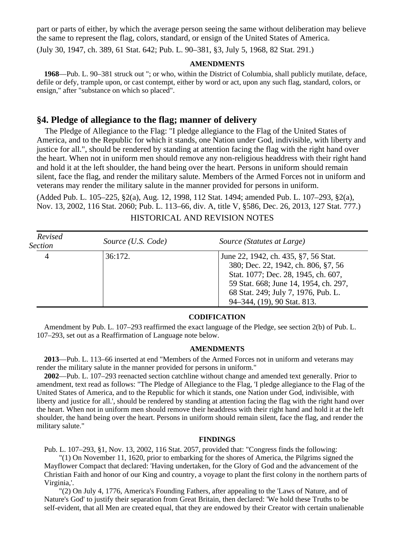part or parts of either, by which the average person seeing the same without deliberation may believe the same to represent the flag, colors, standard, or ensign of the United States of America.

(July 30, 1947, ch. 389, 61 Stat. 642; Pub. L. 90–381, §3, July 5, 1968, 82 Stat. 291.)

#### **AMENDMENTS**

**1968**—Pub. L. 90–381 struck out "; or who, within the District of Columbia, shall publicly mutilate, deface, defile or defy, trample upon, or cast contempt, either by word or act, upon any such flag, standard, colors, or ensign," after "substance on which so placed".

# **§4. Pledge of allegiance to the flag; manner of delivery**

The Pledge of Allegiance to the Flag: "I pledge allegiance to the Flag of the United States of America, and to the Republic for which it stands, one Nation under God, indivisible, with liberty and justice for all.", should be rendered by standing at attention facing the flag with the right hand over the heart. When not in uniform men should remove any non-religious headdress with their right hand and hold it at the left shoulder, the hand being over the heart. Persons in uniform should remain silent, face the flag, and render the military salute. Members of the Armed Forces not in uniform and veterans may render the military salute in the manner provided for persons in uniform.

(Added Pub. L. 105–225, §2(a), Aug. 12, 1998, 112 Stat. 1494; amended Pub. L. 107–293, §2(a), Nov. 13, 2002, 116 Stat. 2060; Pub. L. 113–66, div. A, title V, §586, Dec. 26, 2013, 127 Stat. 777.)

#### HISTORICAL AND REVISION NOTES

| Revised<br><b>Section</b> | Source (U.S. Code) | Source (Statutes at Large)                                                                                                                                                                                                        |
|---------------------------|--------------------|-----------------------------------------------------------------------------------------------------------------------------------------------------------------------------------------------------------------------------------|
|                           | 36:172.            | June 22, 1942, ch. 435, §7, 56 Stat.<br>380; Dec. 22, 1942, ch. 806, §7, 56<br>Stat. 1077; Dec. 28, 1945, ch. 607,<br>59 Stat. 668; June 14, 1954, ch. 297,<br>68 Stat. 249; July 7, 1976, Pub. L.<br>94–344, (19), 90 Stat. 813. |

#### **CODIFICATION**

Amendment by Pub. L. 107–293 reaffirmed the exact language of the Pledge, see section 2(b) of Pub. L. 107–293, set out as a Reaffirmation of Language note below.

#### **AMENDMENTS**

**2013**—Pub. L. 113–66 inserted at end "Members of the Armed Forces not in uniform and veterans may render the military salute in the manner provided for persons in uniform."

**2002**—Pub. L. 107–293 reenacted section catchline without change and amended text generally. Prior to amendment, text read as follows: "The Pledge of Allegiance to the Flag, 'I pledge allegiance to the Flag of the United States of America, and to the Republic for which it stands, one Nation under God, indivisible, with liberty and justice for all.', should be rendered by standing at attention facing the flag with the right hand over the heart. When not in uniform men should remove their headdress with their right hand and hold it at the left shoulder, the hand being over the heart. Persons in uniform should remain silent, face the flag, and render the military salute."

#### **FINDINGS**

Pub. L. 107–293, §1, Nov. 13, 2002, 116 Stat. 2057, provided that: "Congress finds the following:

"(1) On November 11, 1620, prior to embarking for the shores of America, the Pilgrims signed the Mayflower Compact that declared: 'Having undertaken, for the Glory of God and the advancement of the Christian Faith and honor of our King and country, a voyage to plant the first colony in the northern parts of Virginia,'.

"(2) On July 4, 1776, America's Founding Fathers, after appealing to the 'Laws of Nature, and of Nature's God' to justify their separation from Great Britain, then declared: 'We hold these Truths to be self-evident, that all Men are created equal, that they are endowed by their Creator with certain unalienable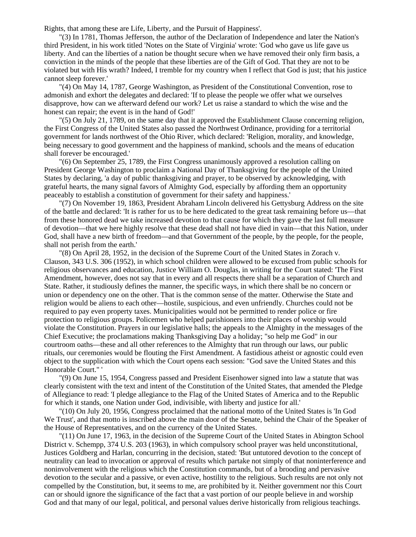Rights, that among these are Life, Liberty, and the Pursuit of Happiness'.

"(3) In 1781, Thomas Jefferson, the author of the Declaration of Independence and later the Nation's third President, in his work titled 'Notes on the State of Virginia' wrote: 'God who gave us life gave us liberty. And can the liberties of a nation be thought secure when we have removed their only firm basis, a conviction in the minds of the people that these liberties are of the Gift of God. That they are not to be violated but with His wrath? Indeed, I tremble for my country when I reflect that God is just; that his justice cannot sleep forever.'

"(4) On May 14, 1787, George Washington, as President of the Constitutional Convention, rose to admonish and exhort the delegates and declared: 'If to please the people we offer what we ourselves disapprove, how can we afterward defend our work? Let us raise a standard to which the wise and the honest can repair; the event is in the hand of God!'

"(5) On July 21, 1789, on the same day that it approved the Establishment Clause concerning religion, the First Congress of the United States also passed the Northwest Ordinance, providing for a territorial government for lands northwest of the Ohio River, which declared: 'Religion, morality, and knowledge, being necessary to good government and the happiness of mankind, schools and the means of education shall forever be encouraged.'

"(6) On September 25, 1789, the First Congress unanimously approved a resolution calling on President George Washington to proclaim a National Day of Thanksgiving for the people of the United States by declaring, 'a day of public thanksgiving and prayer, to be observed by acknowledging, with grateful hearts, the many signal favors of Almighty God, especially by affording them an opportunity peaceably to establish a constitution of government for their safety and happiness.'

"(7) On November 19, 1863, President Abraham Lincoln delivered his Gettysburg Address on the site of the battle and declared: 'It is rather for us to be here dedicated to the great task remaining before us—that from these honored dead we take increased devotion to that cause for which they gave the last full measure of devotion—that we here highly resolve that these dead shall not have died in vain—that this Nation, under God, shall have a new birth of freedom—and that Government of the people, by the people, for the people, shall not perish from the earth.'

"(8) On April 28, 1952, in the decision of the Supreme Court of the United States in Zorach v. Clauson, 343 U.S. 306 (1952), in which school children were allowed to be excused from public schools for religious observances and education, Justice William O. Douglas, in writing for the Court stated: 'The First Amendment, however, does not say that in every and all respects there shall be a separation of Church and State. Rather, it studiously defines the manner, the specific ways, in which there shall be no concern or union or dependency one on the other. That is the common sense of the matter. Otherwise the State and religion would be aliens to each other—hostile, suspicious, and even unfriendly. Churches could not be required to pay even property taxes. Municipalities would not be permitted to render police or fire protection to religious groups. Policemen who helped parishioners into their places of worship would violate the Constitution. Prayers in our legislative halls; the appeals to the Almighty in the messages of the Chief Executive; the proclamations making Thanksgiving Day a holiday; "so help me God" in our courtroom oaths—these and all other references to the Almighty that run through our laws, our public rituals, our ceremonies would be flouting the First Amendment. A fastidious atheist or agnostic could even object to the supplication with which the Court opens each session: "God save the United States and this Honorable Court." '

"(9) On June 15, 1954, Congress passed and President Eisenhower signed into law a statute that was clearly consistent with the text and intent of the Constitution of the United States, that amended the Pledge of Allegiance to read: 'I pledge allegiance to the Flag of the United States of America and to the Republic for which it stands, one Nation under God, indivisible, with liberty and justice for all.'

"(10) On July 20, 1956, Congress proclaimed that the national motto of the United States is 'In God We Trust', and that motto is inscribed above the main door of the Senate, behind the Chair of the Speaker of the House of Representatives, and on the currency of the United States.

"(11) On June 17, 1963, in the decision of the Supreme Court of the United States in Abington School District v. Schempp, 374 U.S. 203 (1963), in which compulsory school prayer was held unconstitutional, Justices Goldberg and Harlan, concurring in the decision, stated: 'But untutored devotion to the concept of neutrality can lead to invocation or approval of results which partake not simply of that noninterference and noninvolvement with the religious which the Constitution commands, but of a brooding and pervasive devotion to the secular and a passive, or even active, hostility to the religious. Such results are not only not compelled by the Constitution, but, it seems to me, are prohibited by it. Neither government nor this Court can or should ignore the significance of the fact that a vast portion of our people believe in and worship God and that many of our legal, political, and personal values derive historically from religious teachings.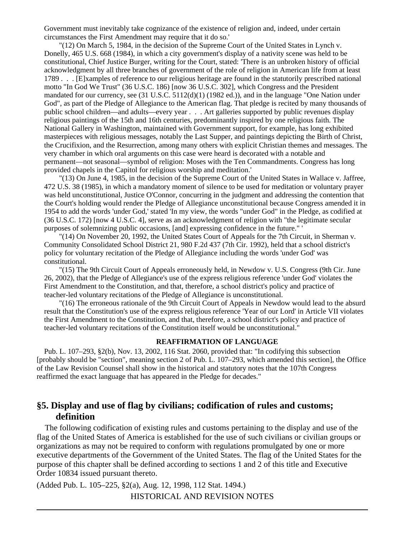Government must inevitably take cognizance of the existence of religion and, indeed, under certain circumstances the First Amendment may require that it do so.'

"(12) On March 5, 1984, in the decision of the Supreme Court of the United States in Lynch v. Donelly, 465 U.S. 668 (1984), in which a city government's display of a nativity scene was held to be constitutional, Chief Justice Burger, writing for the Court, stated: 'There is an unbroken history of official acknowledgment by all three branches of government of the role of religion in American life from at least 1789 . . . [E]xamples of reference to our religious heritage are found in the statutorily prescribed national motto "In God We Trust" (36 U.S.C. 186) [now 36 U.S.C. 302], which Congress and the President mandated for our currency, see (31 U.S.C. 5112(d)(1) (1982 ed.)), and in the language "One Nation under God", as part of the Pledge of Allegiance to the American flag. That pledge is recited by many thousands of public school children—and adults—every year . . . Art galleries supported by public revenues display religious paintings of the 15th and 16th centuries, predominantly inspired by one religious faith. The National Gallery in Washington, maintained with Government support, for example, has long exhibited masterpieces with religious messages, notably the Last Supper, and paintings depicting the Birth of Christ, the Crucifixion, and the Resurrection, among many others with explicit Christian themes and messages. The very chamber in which oral arguments on this case were heard is decorated with a notable and permanent—not seasonal—symbol of religion: Moses with the Ten Commandments. Congress has long provided chapels in the Capitol for religious worship and meditation.'

"(13) On June 4, 1985, in the decision of the Supreme Court of the United States in Wallace v. Jaffree, 472 U.S. 38 (1985), in which a mandatory moment of silence to be used for meditation or voluntary prayer was held unconstitutional, Justice O'Connor, concurring in the judgment and addressing the contention that the Court's holding would render the Pledge of Allegiance unconstitutional because Congress amended it in 1954 to add the words 'under God,' stated 'In my view, the words "under God" in the Pledge, as codified at (36 U.S.C. 172) [now 4 U.S.C. 4], serve as an acknowledgment of religion with "the legitimate secular purposes of solemnizing public occasions, [and] expressing confidence in the future." '

"(14) On November 20, 1992, the United States Court of Appeals for the 7th Circuit, in Sherman v. Community Consolidated School District 21, 980 F.2d 437 (7th Cir. 1992), held that a school district's policy for voluntary recitation of the Pledge of Allegiance including the words 'under God' was constitutional.

"(15) The 9th Circuit Court of Appeals erroneously held, in Newdow v. U.S. Congress (9th Cir. June 26, 2002), that the Pledge of Allegiance's use of the express religious reference 'under God' violates the First Amendment to the Constitution, and that, therefore, a school district's policy and practice of teacher-led voluntary recitations of the Pledge of Allegiance is unconstitutional.

"(16) The erroneous rationale of the 9th Circuit Court of Appeals in Newdow would lead to the absurd result that the Constitution's use of the express religious reference 'Year of our Lord' in Article VII violates the First Amendment to the Constitution, and that, therefore, a school district's policy and practice of teacher-led voluntary recitations of the Constitution itself would be unconstitutional."

#### **REAFFIRMATION OF LANGUAGE**

Pub. L. 107–293, §2(b), Nov. 13, 2002, 116 Stat. 2060, provided that: "In codifying this subsection [probably should be "section", meaning section 2 of Pub. L. 107–293, which amended this section], the Office of the Law Revision Counsel shall show in the historical and statutory notes that the 107th Congress reaffirmed the exact language that has appeared in the Pledge for decades."

# **§5. Display and use of flag by civilians; codification of rules and customs; definition**

The following codification of existing rules and customs pertaining to the display and use of the flag of the United States of America is established for the use of such civilians or civilian groups or organizations as may not be required to conform with regulations promulgated by one or more executive departments of the Government of the United States. The flag of the United States for the purpose of this chapter shall be defined according to sections 1 and 2 of this title and Executive Order 10834 issued pursuant thereto.

(Added Pub. L. 105–225, §2(a), Aug. 12, 1998, 112 Stat. 1494.)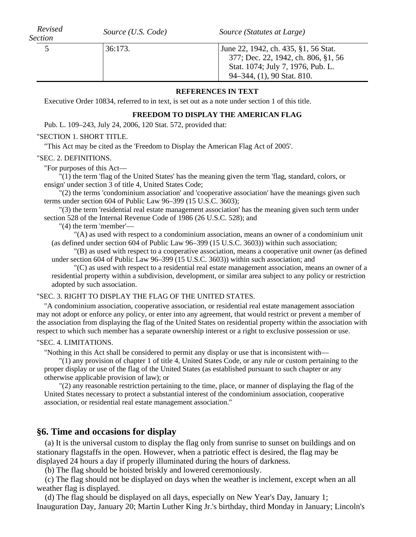| Revised<br><b>Section</b> | Source (U.S. Code) | Source (Statutes at Large)                                                                                                                     |
|---------------------------|--------------------|------------------------------------------------------------------------------------------------------------------------------------------------|
|                           | 36:173.            | June 22, 1942, ch. 435, §1, 56 Stat.<br>377; Dec. 22, 1942, ch. 806, §1, 56<br>Stat. 1074; July 7, 1976, Pub. L.<br>94–344, (1), 90 Stat. 810. |

#### **REFERENCES IN TEXT**

Executive Order 10834, referred to in text, is set out as a note under section 1 of this title.

#### **FREEDOM TO DISPLAY THE AMERICAN FLAG**

Pub. L. 109–243, July 24, 2006, 120 Stat. 572, provided that:

#### "SECTION 1. SHORT TITLE.

"This Act may be cited as the 'Freedom to Display the American Flag Act of 2005'.

#### "SEC. 2. DEFINITIONS.

"For purposes of this Act—

 $\binom{n}{1}$  the term 'flag of the United States' has the meaning given the term 'flag, standard, colors, or ensign' under section 3 of title 4, United States Code;

"(2) the terms 'condominium association' and 'cooperative association' have the meanings given such terms under section 604 of Public Law 96–399 (15 U.S.C. 3603);

"(3) the term 'residential real estate management association' has the meaning given such term under section 528 of the Internal Revenue Code of 1986 (26 U.S.C. 528); and

"(4) the term 'member'—

"(A) as used with respect to a condominium association, means an owner of a condominium unit (as defined under section 604 of Public Law 96–399 (15 U.S.C. 3603)) within such association;

"(B) as used with respect to a cooperative association, means a cooperative unit owner (as defined under section 604 of Public Law 96–399 (15 U.S.C. 3603)) within such association; and

"(C) as used with respect to a residential real estate management association, means an owner of a residential property within a subdivision, development, or similar area subject to any policy or restriction adopted by such association.

#### "SEC. 3. RIGHT TO DISPLAY THE FLAG OF THE UNITED STATES.

"A condominium association, cooperative association, or residential real estate management association may not adopt or enforce any policy, or enter into any agreement, that would restrict or prevent a member of the association from displaying the flag of the United States on residential property within the association with respect to which such member has a separate ownership interest or a right to exclusive possession or use.

#### "SEC. 4. LIMITATIONS.

"Nothing in this Act shall be considered to permit any display or use that is inconsistent with—

"(1) any provision of chapter 1 of title 4, United States Code, or any rule or custom pertaining to the proper display or use of the flag of the United States (as established pursuant to such chapter or any otherwise applicable provision of law); or

"(2) any reasonable restriction pertaining to the time, place, or manner of displaying the flag of the United States necessary to protect a substantial interest of the condominium association, cooperative association, or residential real estate management association."

# **§6. Time and occasions for display**

(a) It is the universal custom to display the flag only from sunrise to sunset on buildings and on stationary flagstaffs in the open. However, when a patriotic effect is desired, the flag may be displayed 24 hours a day if properly illuminated during the hours of darkness.

(b) The flag should be hoisted briskly and lowered ceremoniously.

(c) The flag should not be displayed on days when the weather is inclement, except when an all weather flag is displayed.

(d) The flag should be displayed on all days, especially on New Year's Day, January 1; Inauguration Day, January 20; Martin Luther King Jr.'s birthday, third Monday in January; Lincoln's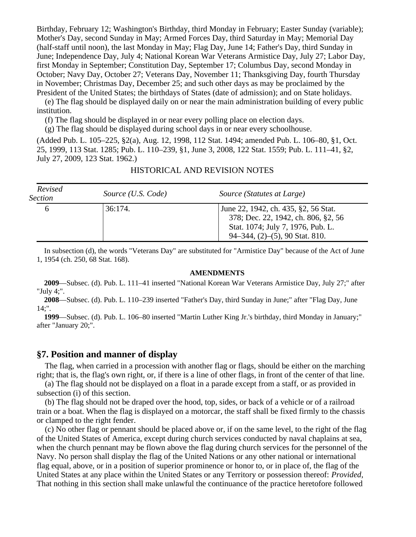Birthday, February 12; Washington's Birthday, third Monday in February; Easter Sunday (variable); Mother's Day, second Sunday in May; Armed Forces Day, third Saturday in May; Memorial Day (half-staff until noon), the last Monday in May; Flag Day, June 14; Father's Day, third Sunday in June; Independence Day, July 4; National Korean War Veterans Armistice Day, July 27; Labor Day, first Monday in September; Constitution Day, September 17; Columbus Day, second Monday in October; Navy Day, October 27; Veterans Day, November 11; Thanksgiving Day, fourth Thursday in November; Christmas Day, December 25; and such other days as may be proclaimed by the President of the United States; the birthdays of States (date of admission); and on State holidays.

(e) The flag should be displayed daily on or near the main administration building of every public institution.

(f) The flag should be displayed in or near every polling place on election days.

(g) The flag should be displayed during school days in or near every schoolhouse.

(Added Pub. L. 105–225, §2(a), Aug. 12, 1998, 112 Stat. 1494; amended Pub. L. 106–80, §1, Oct. 25, 1999, 113 Stat. 1285; Pub. L. 110–239, §1, June 3, 2008, 122 Stat. 1559; Pub. L. 111–41, §2, July 27, 2009, 123 Stat. 1962.)

#### HISTORICAL AND REVISION NOTES

| Revised<br><i>Section</i> | Source (U.S. Code) | Source (Statutes at Large)                                                                                                                               |
|---------------------------|--------------------|----------------------------------------------------------------------------------------------------------------------------------------------------------|
|                           | 36:174.            | June 22, 1942, ch. 435, §2, 56 Stat.<br>378; Dec. 22, 1942, ch. 806, §2, 56<br>Stat. 1074; July 7, 1976, Pub. L.<br>$94-344$ , $(2)-(5)$ , 90 Stat. 810. |

In subsection (d), the words "Veterans Day" are substituted for "Armistice Day" because of the Act of June 1, 1954 (ch. 250, 68 Stat. 168).

#### **AMENDMENTS**

**2009**—Subsec. (d). Pub. L. 111–41 inserted "National Korean War Veterans Armistice Day, July 27;" after "July 4;".

**2008**—Subsec. (d). Pub. L. 110–239 inserted "Father's Day, third Sunday in June;" after "Flag Day, June 14;".

**1999**—Subsec. (d). Pub. L. 106–80 inserted "Martin Luther King Jr.'s birthday, third Monday in January;" after "January 20;".

# **§7. Position and manner of display**

The flag, when carried in a procession with another flag or flags, should be either on the marching right; that is, the flag's own right, or, if there is a line of other flags, in front of the center of that line.

(a) The flag should not be displayed on a float in a parade except from a staff, or as provided in subsection (i) of this section.

(b) The flag should not be draped over the hood, top, sides, or back of a vehicle or of a railroad train or a boat. When the flag is displayed on a motorcar, the staff shall be fixed firmly to the chassis or clamped to the right fender.

(c) No other flag or pennant should be placed above or, if on the same level, to the right of the flag of the United States of America, except during church services conducted by naval chaplains at sea, when the church pennant may be flown above the flag during church services for the personnel of the Navy. No person shall display the flag of the United Nations or any other national or international flag equal, above, or in a position of superior prominence or honor to, or in place of, the flag of the United States at any place within the United States or any Territory or possession thereof: *Provided*, That nothing in this section shall make unlawful the continuance of the practice heretofore followed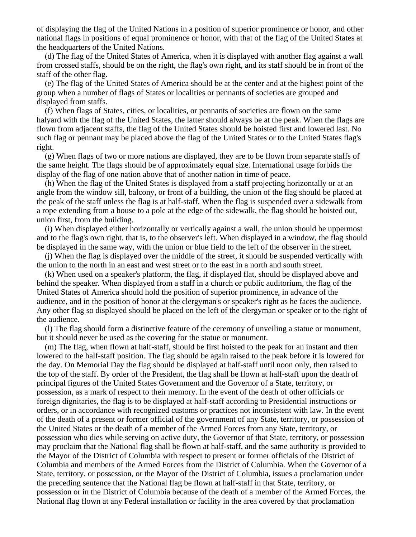of displaying the flag of the United Nations in a position of superior prominence or honor, and other national flags in positions of equal prominence or honor, with that of the flag of the United States at the headquarters of the United Nations.

(d) The flag of the United States of America, when it is displayed with another flag against a wall from crossed staffs, should be on the right, the flag's own right, and its staff should be in front of the staff of the other flag.

(e) The flag of the United States of America should be at the center and at the highest point of the group when a number of flags of States or localities or pennants of societies are grouped and displayed from staffs.

(f) When flags of States, cities, or localities, or pennants of societies are flown on the same halyard with the flag of the United States, the latter should always be at the peak. When the flags are flown from adjacent staffs, the flag of the United States should be hoisted first and lowered last. No such flag or pennant may be placed above the flag of the United States or to the United States flag's right.

(g) When flags of two or more nations are displayed, they are to be flown from separate staffs of the same height. The flags should be of approximately equal size. International usage forbids the display of the flag of one nation above that of another nation in time of peace.

(h) When the flag of the United States is displayed from a staff projecting horizontally or at an angle from the window sill, balcony, or front of a building, the union of the flag should be placed at the peak of the staff unless the flag is at half-staff. When the flag is suspended over a sidewalk from a rope extending from a house to a pole at the edge of the sidewalk, the flag should be hoisted out, union first, from the building.

(i) When displayed either horizontally or vertically against a wall, the union should be uppermost and to the flag's own right, that is, to the observer's left. When displayed in a window, the flag should be displayed in the same way, with the union or blue field to the left of the observer in the street.

(j) When the flag is displayed over the middle of the street, it should be suspended vertically with the union to the north in an east and west street or to the east in a north and south street.

(k) When used on a speaker's platform, the flag, if displayed flat, should be displayed above and behind the speaker. When displayed from a staff in a church or public auditorium, the flag of the United States of America should hold the position of superior prominence, in advance of the audience, and in the position of honor at the clergyman's or speaker's right as he faces the audience. Any other flag so displayed should be placed on the left of the clergyman or speaker or to the right of the audience.

(l) The flag should form a distinctive feature of the ceremony of unveiling a statue or monument, but it should never be used as the covering for the statue or monument.

(m) The flag, when flown at half-staff, should be first hoisted to the peak for an instant and then lowered to the half-staff position. The flag should be again raised to the peak before it is lowered for the day. On Memorial Day the flag should be displayed at half-staff until noon only, then raised to the top of the staff. By order of the President, the flag shall be flown at half-staff upon the death of principal figures of the United States Government and the Governor of a State, territory, or possession, as a mark of respect to their memory. In the event of the death of other officials or foreign dignitaries, the flag is to be displayed at half-staff according to Presidential instructions or orders, or in accordance with recognized customs or practices not inconsistent with law. In the event of the death of a present or former official of the government of any State, territory, or possession of the United States or the death of a member of the Armed Forces from any State, territory, or possession who dies while serving on active duty, the Governor of that State, territory, or possession may proclaim that the National flag shall be flown at half-staff, and the same authority is provided to the Mayor of the District of Columbia with respect to present or former officials of the District of Columbia and members of the Armed Forces from the District of Columbia. When the Governor of a State, territory, or possession, or the Mayor of the District of Columbia, issues a proclamation under the preceding sentence that the National flag be flown at half-staff in that State, territory, or possession or in the District of Columbia because of the death of a member of the Armed Forces, the National flag flown at any Federal installation or facility in the area covered by that proclamation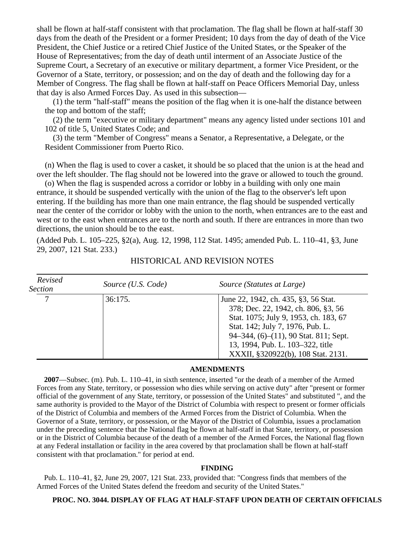shall be flown at half-staff consistent with that proclamation. The flag shall be flown at half-staff 30 days from the death of the President or a former President; 10 days from the day of death of the Vice President, the Chief Justice or a retired Chief Justice of the United States, or the Speaker of the House of Representatives; from the day of death until interment of an Associate Justice of the Supreme Court, a Secretary of an executive or military department, a former Vice President, or the Governor of a State, territory, or possession; and on the day of death and the following day for a Member of Congress. The flag shall be flown at half-staff on Peace Officers Memorial Day, unless that day is also Armed Forces Day. As used in this subsection—

(1) the term "half-staff" means the position of the flag when it is one-half the distance between the top and bottom of the staff;

(2) the term "executive or military department" means any agency listed under sections 101 and 102 of title 5, United States Code; and

(3) the term "Member of Congress" means a Senator, a Representative, a Delegate, or the Resident Commissioner from Puerto Rico.

(n) When the flag is used to cover a casket, it should be so placed that the union is at the head and over the left shoulder. The flag should not be lowered into the grave or allowed to touch the ground.

(o) When the flag is suspended across a corridor or lobby in a building with only one main entrance, it should be suspended vertically with the union of the flag to the observer's left upon entering. If the building has more than one main entrance, the flag should be suspended vertically near the center of the corridor or lobby with the union to the north, when entrances are to the east and west or to the east when entrances are to the north and south. If there are entrances in more than two directions, the union should be to the east.

(Added Pub. L. 105–225, §2(a), Aug. 12, 1998, 112 Stat. 1495; amended Pub. L. 110–41, §3, June 29, 2007, 121 Stat. 233.)

| Revised<br>Section | Source (U.S. Code) | Source (Statutes at Large)                                                                                                                                                                                                                                                    |
|--------------------|--------------------|-------------------------------------------------------------------------------------------------------------------------------------------------------------------------------------------------------------------------------------------------------------------------------|
|                    | 36:175.            | June 22, 1942, ch. 435, §3, 56 Stat.<br>378; Dec. 22, 1942, ch. 806, §3, 56<br>Stat. 1075; July 9, 1953, ch. 183, 67<br>Stat. 142; July 7, 1976, Pub. L.<br>$94-344, (6)–(11), 90$ Stat. 811; Sept.<br>13, 1994, Pub. L. 103–322, title<br>XXXII, §320922(b), 108 Stat. 2131. |

#### HISTORICAL AND REVISION NOTES

### **AMENDMENTS**

**2007**—Subsec. (m). Pub. L. 110–41, in sixth sentence, inserted "or the death of a member of the Armed Forces from any State, territory, or possession who dies while serving on active duty" after "present or former official of the government of any State, territory, or possession of the United States" and substituted ", and the same authority is provided to the Mayor of the District of Columbia with respect to present or former officials of the District of Columbia and members of the Armed Forces from the District of Columbia. When the Governor of a State, territory, or possession, or the Mayor of the District of Columbia, issues a proclamation under the preceding sentence that the National flag be flown at half-staff in that State, territory, or possession or in the District of Columbia because of the death of a member of the Armed Forces, the National flag flown at any Federal installation or facility in the area covered by that proclamation shall be flown at half-staff consistent with that proclamation." for period at end.

#### **FINDING**

Pub. L. 110–41, §2, June 29, 2007, 121 Stat. 233, provided that: "Congress finds that members of the Armed Forces of the United States defend the freedom and security of the United States."

#### **PROC. NO. 3044. DISPLAY OF FLAG AT HALF-STAFF UPON DEATH OF CERTAIN OFFICIALS**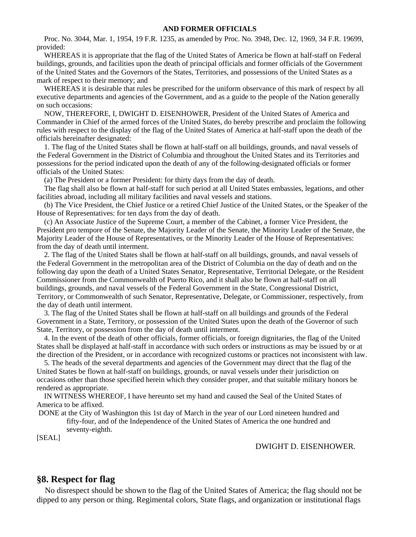#### **AND FORMER OFFICIALS**

Proc. No. 3044, Mar. 1, 1954, 19 F.R. 1235, as amended by Proc. No. 3948, Dec. 12, 1969, 34 F.R. 19699, provided:

WHEREAS it is appropriate that the flag of the United States of America be flown at half-staff on Federal buildings, grounds, and facilities upon the death of principal officials and former officials of the Government of the United States and the Governors of the States, Territories, and possessions of the United States as a mark of respect to their memory; and

WHEREAS it is desirable that rules be prescribed for the uniform observance of this mark of respect by all executive departments and agencies of the Government, and as a guide to the people of the Nation generally on such occasions:

NOW, THEREFORE, I, DWIGHT D. EISENHOWER, President of the United States of America and Commander in Chief of the armed forces of the United States, do hereby prescribe and proclaim the following rules with respect to the display of the flag of the United States of America at half-staff upon the death of the officials hereinafter designated:

1. The flag of the United States shall be flown at half-staff on all buildings, grounds, and naval vessels of the Federal Government in the District of Columbia and throughout the United States and its Territories and possessions for the period indicated upon the death of any of the following-designated officials or former officials of the United States:

(a) The President or a former President: for thirty days from the day of death.

The flag shall also be flown at half-staff for such period at all United States embassies, legations, and other facilities abroad, including all military facilities and naval vessels and stations.

(b) The Vice President, the Chief Justice or a retired Chief Justice of the United States, or the Speaker of the House of Representatives: for ten days from the day of death.

(c) An Associate Justice of the Supreme Court, a member of the Cabinet, a former Vice President, the President pro tempore of the Senate, the Majority Leader of the Senate, the Minority Leader of the Senate, the Majority Leader of the House of Representatives, or the Minority Leader of the House of Representatives: from the day of death until interment.

2. The flag of the United States shall be flown at half-staff on all buildings, grounds, and naval vessels of the Federal Government in the metropolitan area of the District of Columbia on the day of death and on the following day upon the death of a United States Senator, Representative, Territorial Delegate, or the Resident Commissioner from the Commonwealth of Puerto Rico, and it shall also be flown at half-staff on all buildings, grounds, and naval vessels of the Federal Government in the State, Congressional District, Territory, or Commonwealth of such Senator, Representative, Delegate, or Commissioner, respectively, from the day of death until interment.

3. The flag of the United States shall be flown at half-staff on all buildings and grounds of the Federal Government in a State, Territory, or possession of the United States upon the death of the Governor of such State, Territory, or possession from the day of death until interment.

4. In the event of the death of other officials, former officials, or foreign dignitaries, the flag of the United States shall be displayed at half-staff in accordance with such orders or instructions as may be issued by or at the direction of the President, or in accordance with recognized customs or practices not inconsistent with law.

5. The heads of the several departments and agencies of the Government may direct that the flag of the United States be flown at half-staff on buildings, grounds, or naval vessels under their jurisdiction on occasions other than those specified herein which they consider proper, and that suitable military honors be rendered as appropriate.

IN WITNESS WHEREOF, I have hereunto set my hand and caused the Seal of the United States of America to be affixed.

 DONE at the City of Washington this 1st day of March in the year of our Lord nineteen hundred and fifty-four, and of the Independence of the United States of America the one hundred and seventy-eighth.

[SEAL]

DWIGHT D. EISENHOWER.

# **§8. Respect for flag**

No disrespect should be shown to the flag of the United States of America; the flag should not be dipped to any person or thing. Regimental colors, State flags, and organization or institutional flags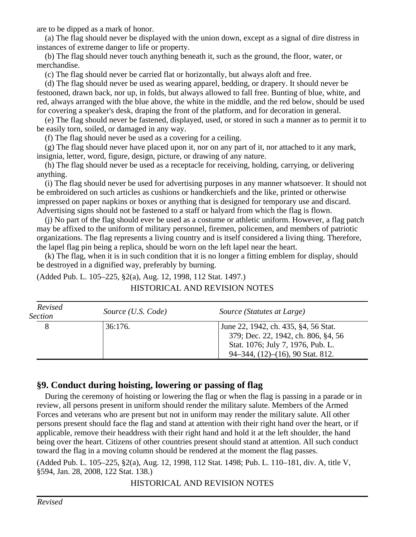are to be dipped as a mark of honor.

(a) The flag should never be displayed with the union down, except as a signal of dire distress in instances of extreme danger to life or property.

(b) The flag should never touch anything beneath it, such as the ground, the floor, water, or merchandise.

(c) The flag should never be carried flat or horizontally, but always aloft and free.

(d) The flag should never be used as wearing apparel, bedding, or drapery. It should never be festooned, drawn back, nor up, in folds, but always allowed to fall free. Bunting of blue, white, and red, always arranged with the blue above, the white in the middle, and the red below, should be used for covering a speaker's desk, draping the front of the platform, and for decoration in general.

(e) The flag should never be fastened, displayed, used, or stored in such a manner as to permit it to be easily torn, soiled, or damaged in any way.

(f) The flag should never be used as a covering for a ceiling.

(g) The flag should never have placed upon it, nor on any part of it, nor attached to it any mark, insignia, letter, word, figure, design, picture, or drawing of any nature.

(h) The flag should never be used as a receptacle for receiving, holding, carrying, or delivering anything.

(i) The flag should never be used for advertising purposes in any manner whatsoever. It should not be embroidered on such articles as cushions or handkerchiefs and the like, printed or otherwise impressed on paper napkins or boxes or anything that is designed for temporary use and discard. Advertising signs should not be fastened to a staff or halyard from which the flag is flown.

(j) No part of the flag should ever be used as a costume or athletic uniform. However, a flag patch may be affixed to the uniform of military personnel, firemen, policemen, and members of patriotic organizations. The flag represents a living country and is itself considered a living thing. Therefore, the lapel flag pin being a replica, should be worn on the left lapel near the heart.

(k) The flag, when it is in such condition that it is no longer a fitting emblem for display, should be destroyed in a dignified way, preferably by burning.

(Added Pub. L. 105–225, §2(a), Aug. 12, 1998, 112 Stat. 1497.)

| <b>HISTORICAL AND REVISION NOTES</b> |  |
|--------------------------------------|--|
|                                      |  |

| Revised<br>Section | Source (U.S. Code) | Source (Statutes at Large)                                                                                                                           |
|--------------------|--------------------|------------------------------------------------------------------------------------------------------------------------------------------------------|
|                    | 36:176.            | June 22, 1942, ch. 435, §4, 56 Stat.<br>379; Dec. 22, 1942, ch. 806, §4, 56<br>Stat. 1076; July 7, 1976, Pub. L.<br>94–344, (12)–(16), 90 Stat. 812. |

# **§9. Conduct during hoisting, lowering or passing of flag**

During the ceremony of hoisting or lowering the flag or when the flag is passing in a parade or in review, all persons present in uniform should render the military salute. Members of the Armed Forces and veterans who are present but not in uniform may render the military salute. All other persons present should face the flag and stand at attention with their right hand over the heart, or if applicable, remove their headdress with their right hand and hold it at the left shoulder, the hand being over the heart. Citizens of other countries present should stand at attention. All such conduct toward the flag in a moving column should be rendered at the moment the flag passes.

(Added Pub. L. 105–225, §2(a), Aug. 12, 1998, 112 Stat. 1498; Pub. L. 110–181, div. A, title V, §594, Jan. 28, 2008, 122 Stat. 138.)

HISTORICAL AND REVISION NOTES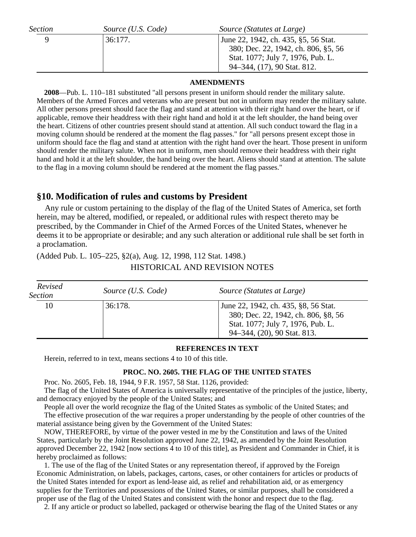| Section | Source (U.S. Code) | Source (Statutes at Large)                                                                                                                      |
|---------|--------------------|-------------------------------------------------------------------------------------------------------------------------------------------------|
|         | 36:177.            | June 22, 1942, ch. 435, §5, 56 Stat.<br>380; Dec. 22, 1942, ch. 806, §5, 56<br>Stat. 1077; July 7, 1976, Pub. L.<br>94–344, (17), 90 Stat. 812. |

### **AMENDMENTS**

**2008**—Pub. L. 110–181 substituted "all persons present in uniform should render the military salute. Members of the Armed Forces and veterans who are present but not in uniform may render the military salute. All other persons present should face the flag and stand at attention with their right hand over the heart, or if applicable, remove their headdress with their right hand and hold it at the left shoulder, the hand being over the heart. Citizens of other countries present should stand at attention. All such conduct toward the flag in a moving column should be rendered at the moment the flag passes." for "all persons present except those in uniform should face the flag and stand at attention with the right hand over the heart. Those present in uniform should render the military salute. When not in uniform, men should remove their headdress with their right hand and hold it at the left shoulder, the hand being over the heart. Aliens should stand at attention. The salute to the flag in a moving column should be rendered at the moment the flag passes."

# **§10. Modification of rules and customs by President**

Any rule or custom pertaining to the display of the flag of the United States of America, set forth herein, may be altered, modified, or repealed, or additional rules with respect thereto may be prescribed, by the Commander in Chief of the Armed Forces of the United States, whenever he deems it to be appropriate or desirable; and any such alteration or additional rule shall be set forth in a proclamation.

(Added Pub. L. 105–225, §2(a), Aug. 12, 1998, 112 Stat. 1498.)

| Revised<br>Section | Source (U.S. Code) | Source (Statutes at Large)                                                                                                                      |
|--------------------|--------------------|-------------------------------------------------------------------------------------------------------------------------------------------------|
| 10                 | 36:178.            | June 22, 1942, ch. 435, §8, 56 Stat.<br>380; Dec. 22, 1942, ch. 806, §8, 56<br>Stat. 1077; July 7, 1976, Pub. L.<br>94–344, (20), 90 Stat. 813. |

# HISTORICAL AND REVISION NOTES

# **REFERENCES IN TEXT**

Herein, referred to in text, means sections 4 to 10 of this title.

#### **PROC. NO. 2605. THE FLAG OF THE UNITED STATES**

Proc. No. 2605, Feb. 18, 1944, 9 F.R. 1957, 58 Stat. 1126, provided:

The flag of the United States of America is universally representative of the principles of the justice, liberty, and democracy enjoyed by the people of the United States; and

People all over the world recognize the flag of the United States as symbolic of the United States; and The effective prosecution of the war requires a proper understanding by the people of other countries of the material assistance being given by the Government of the United States:

NOW, THEREFORE, by virtue of the power vested in me by the Constitution and laws of the United States, particularly by the Joint Resolution approved June 22, 1942, as amended by the Joint Resolution approved December 22, 1942 [now sections 4 to 10 of this title], as President and Commander in Chief, it is hereby proclaimed as follows:

1. The use of the flag of the United States or any representation thereof, if approved by the Foreign Economic Administration, on labels, packages, cartons, cases, or other containers for articles or products of the United States intended for export as lend-lease aid, as relief and rehabilitation aid, or as emergency supplies for the Territories and possessions of the United States, or similar purposes, shall be considered a proper use of the flag of the United States and consistent with the honor and respect due to the flag.

2. If any article or product so labelled, packaged or otherwise bearing the flag of the United States or any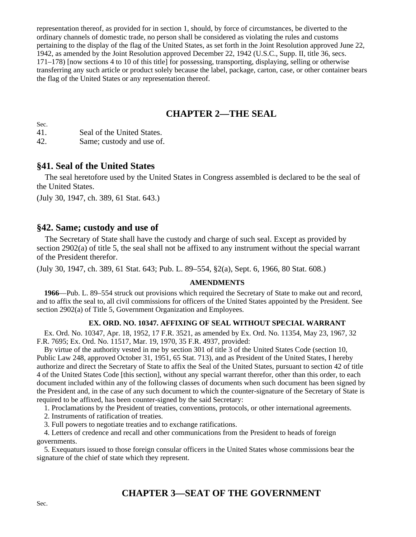representation thereof, as provided for in section 1, should, by force of circumstances, be diverted to the ordinary channels of domestic trade, no person shall be considered as violating the rules and customs pertaining to the display of the flag of the United States, as set forth in the Joint Resolution approved June 22, 1942, as amended by the Joint Resolution approved December 22, 1942 (U.S.C., Supp. II, title 36, secs. 171–178) [now sections 4 to 10 of this title] for possessing, transporting, displaying, selling or otherwise transferring any such article or product solely because the label, package, carton, case, or other container bears the flag of the United States or any representation thereof.

# **CHAPTER 2—THE SEAL**

41. Seal of the United States.

Sec.

42. Same; custody and use of.

# **§41. Seal of the United States**

The seal heretofore used by the United States in Congress assembled is declared to be the seal of the United States.

(July 30, 1947, ch. 389, 61 Stat. 643.)

# **§42. Same; custody and use of**

The Secretary of State shall have the custody and charge of such seal. Except as provided by section 2902(a) of title 5, the seal shall not be affixed to any instrument without the special warrant of the President therefor.

(July 30, 1947, ch. 389, 61 Stat. 643; Pub. L. 89–554, §2(a), Sept. 6, 1966, 80 Stat. 608.)

#### **AMENDMENTS**

**1966**—Pub. L. 89–554 struck out provisions which required the Secretary of State to make out and record, and to affix the seal to, all civil commissions for officers of the United States appointed by the President. See section 2902(a) of Title 5, Government Organization and Employees.

#### **EX. ORD. NO. 10347. AFFIXING OF SEAL WITHOUT SPECIAL WARRANT**

Ex. Ord. No. 10347, Apr. 18, 1952, 17 F.R. 3521, as amended by Ex. Ord. No. 11354, May 23, 1967, 32 F.R. 7695; Ex. Ord. No. 11517, Mar. 19, 1970, 35 F.R. 4937, provided:

By virtue of the authority vested in me by section 301 of title 3 of the United States Code (section 10, Public Law 248, approved October 31, 1951, 65 Stat. 713), and as President of the United States, I hereby authorize and direct the Secretary of State to affix the Seal of the United States, pursuant to section 42 of title 4 of the United States Code [this section], without any special warrant therefor, other than this order, to each document included within any of the following classes of documents when such document has been signed by the President and, in the case of any such document to which the counter-signature of the Secretary of State is required to be affixed, has been counter-signed by the said Secretary:

1. Proclamations by the President of treaties, conventions, protocols, or other international agreements.

2. Instruments of ratification of treaties.

3. Full powers to negotiate treaties and to exchange ratifications.

4. Letters of credence and recall and other communications from the President to heads of foreign governments.

5. Exequaturs issued to those foreign consular officers in the United States whose commissions bear the signature of the chief of state which they represent.

# **CHAPTER 3—SEAT OF THE GOVERNMENT**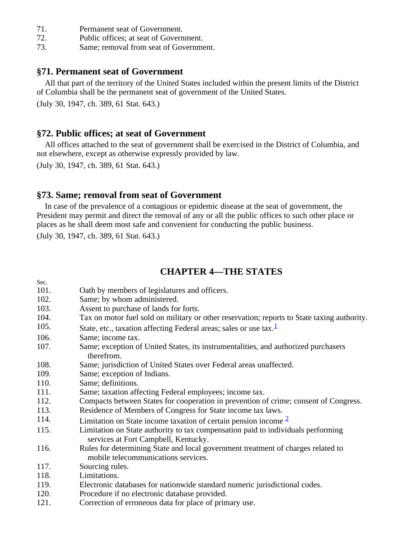- 71. Permanent seat of Government.
- 72. Public offices; at seat of Government.
- 73. Same; removal from seat of Government.

# **§71. Permanent seat of Government**

All that part of the territory of the United States included within the present limits of the District of Columbia shall be the permanent seat of government of the United States.

(July 30, 1947, ch. 389, 61 Stat. 643.)

# **§72. Public offices; at seat of Government**

All offices attached to the seat of government shall be exercised in the District of Columbia, and not elsewhere, except as otherwise expressly provided by law. (July 30, 1947, ch. 389, 61 Stat. 643.)

# **§73. Same; removal from seat of Government**

In case of the prevalence of a contagious or epidemic disease at the seat of government, the President may permit and direct the removal of any or all the public offices to such other place or places as he shall deem most safe and convenient for conducting the public business.

(July 30, 1947, ch. 389, 61 Stat. 643.)

Sec.

# **CHAPTER 4—THE STATES**

<span id="page-15-1"></span><span id="page-15-0"></span>

| 101. | Oath by members of legislatures and officers.                                                                            |  |  |
|------|--------------------------------------------------------------------------------------------------------------------------|--|--|
| 102. | Same; by whom administered.                                                                                              |  |  |
| 103. | Assent to purchase of lands for forts.                                                                                   |  |  |
| 104. | Tax on motor fuel sold on military or other reservation; reports to State taxing authority.                              |  |  |
| 105. | State, etc., taxation affecting Federal areas; sales or use tax. <sup>1</sup>                                            |  |  |
| 106. | Same; income tax.                                                                                                        |  |  |
| 107. | Same; exception of United States, its instrumentalities, and authorized purchasers<br>therefrom.                         |  |  |
| 108. | Same; jurisdiction of United States over Federal areas unaffected.                                                       |  |  |
| 109. | Same; exception of Indians.                                                                                              |  |  |
| 110. | Same; definitions.                                                                                                       |  |  |
| 111. | Same; taxation affecting Federal employees; income tax.                                                                  |  |  |
| 112. | Compacts between States for cooperation in prevention of crime; consent of Congress.                                     |  |  |
| 113. | Residence of Members of Congress for State income tax laws.                                                              |  |  |
| 114. | Limitation on State income taxation of certain pension income $\frac{2}{3}$                                              |  |  |
| 115. | Limitation on State authority to tax compensation paid to individuals performing<br>services at Fort Campbell, Kentucky. |  |  |
| 116. | Rules for determining State and local government treatment of charges related to<br>mobile telecommunications services.  |  |  |
| 117. | Sourcing rules.                                                                                                          |  |  |
| 118. | Limitations.                                                                                                             |  |  |
| 119. | Electronic databases for nationwide standard numeric jurisdictional codes.                                               |  |  |
| 120. | Procedure if no electronic database provided.                                                                            |  |  |
| 121. | Correction of erroneous data for place of primary use.                                                                   |  |  |
|      |                                                                                                                          |  |  |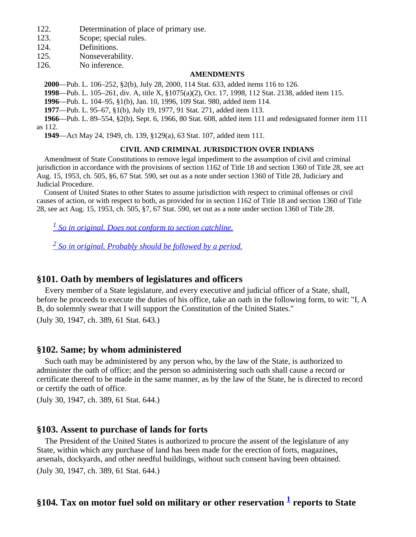- 122. Determination of place of primary use.
- 123. Scope; special rules.
- 124. Definitions.
- 125. Nonseverability.
- 126. No inference.

#### **AMENDMENTS**

**2000**—Pub. L. 106–252, §2(b), July 28, 2000, 114 Stat. 633, added items 116 to 126.

**1998**—Pub. L. 105–261, div. A, title X, §1075(a)(2), Oct. 17, 1998, 112 Stat. 2138, added item 115.

**1996**—Pub. L. 104–95, §1(b), Jan. 10, 1996, 109 Stat. 980, added item 114.

**1977**—Pub. L. 95–67, §1(b), July 19, 1977, 91 Stat. 271, added item 113.

**1966**—Pub. L. 89–554, §2(b), Sept. 6, 1966, 80 Stat. 608, added item 111 and redesignated former item 111 as 112.

**1949**—Act May 24, 1949, ch. 139, §129(a), 63 Stat. 107, added item 111.

#### **CIVIL AND CRIMINAL JURISDICTION OVER INDIANS**

Amendment of State Constitutions to remove legal impediment to the assumption of civil and criminal jurisdiction in accordance with the provisions of section 1162 of Title 18 and section 1360 of Title 28, see act Aug. 15, 1953, ch. 505, §6, 67 Stat. 590, set out as a note under section 1360 of Title 28, Judiciary and Judicial Procedure.

<span id="page-16-1"></span>Consent of United States to other States to assume jurisdiction with respect to criminal offenses or civil causes of action, or with respect to both, as provided for in section 1162 of Title 18 and section 1360 of Title 28, see act Aug. 15, 1953, ch. 505, §7, 67 Stat. 590, set out as a note under section 1360 of Title 28.

 *[So in original. Does not conform to section catchline.](#page-15-0) <sup>1</sup>*

 *[So in original. Probably should be followed by a period.](#page-15-1) <sup>2</sup>*

#### <span id="page-16-0"></span>**§101. Oath by members of legislatures and officers**

Every member of a State legislature, and every executive and judicial officer of a State, shall, before he proceeds to execute the duties of his office, take an oath in the following form, to wit: "I, A B, do solemnly swear that I will support the Constitution of the United States."

(July 30, 1947, ch. 389, 61 Stat. 643.)

### **§102. Same; by whom administered**

Such oath may be administered by any person who, by the law of the State, is authorized to administer the oath of office; and the person so administering such oath shall cause a record or certificate thereof to be made in the same manner, as by the law of the State, he is directed to record or certify the oath of office.

(July 30, 1947, ch. 389, 61 Stat. 644.)

# **§103. Assent to purchase of lands for forts**

The President of the United States is authorized to procure the assent of the legislature of any State, within which any purchase of land has been made for the erection of forts, magazines, arsenals, dockyards, and other needful buildings, without such consent having been obtained. (July 30, 1947, ch. 389, 61 Stat. 644.)

# §104. Tax on motor fuel sold on military or other reservation <sup>1</sup> reports to State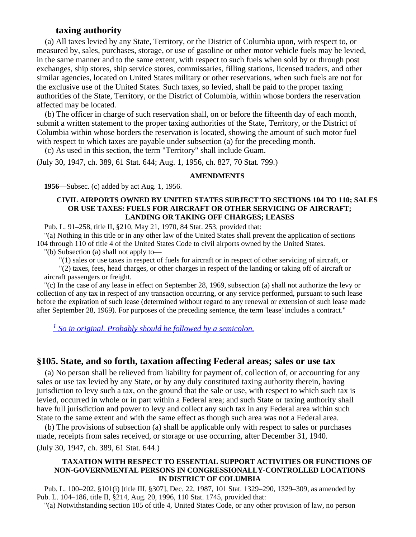# **taxing authority**

(a) All taxes levied by any State, Territory, or the District of Columbia upon, with respect to, or measured by, sales, purchases, storage, or use of gasoline or other motor vehicle fuels may be levied, in the same manner and to the same extent, with respect to such fuels when sold by or through post exchanges, ship stores, ship service stores, commissaries, filling stations, licensed traders, and other similar agencies, located on United States military or other reservations, when such fuels are not for the exclusive use of the United States. Such taxes, so levied, shall be paid to the proper taxing authorities of the State, Territory, or the District of Columbia, within whose borders the reservation affected may be located.

(b) The officer in charge of such reservation shall, on or before the fifteenth day of each month, submit a written statement to the proper taxing authorities of the State, Territory, or the District of Columbia within whose borders the reservation is located, showing the amount of such motor fuel with respect to which taxes are payable under subsection (a) for the preceding month.

(c) As used in this section, the term "Territory" shall include Guam.

(July 30, 1947, ch. 389, 61 Stat. 644; Aug. 1, 1956, ch. 827, 70 Stat. 799.)

#### **AMENDMENTS**

**1956**—Subsec. (c) added by act Aug. 1, 1956.

#### **CIVIL AIRPORTS OWNED BY UNITED STATES SUBJECT TO SECTIONS 104 TO 110; SALES OR USE TAXES: FUELS FOR AIRCRAFT OR OTHER SERVICING OF AIRCRAFT; LANDING OR TAKING OFF CHARGES; LEASES**

Pub. L. 91–258, title II, §210, May 21, 1970, 84 Stat. 253, provided that:

"(a) Nothing in this title or in any other law of the United States shall prevent the application of sections 104 through 110 of title 4 of the United States Code to civil airports owned by the United States.

"(b) Subsection (a) shall not apply to—

"(1) sales or use taxes in respect of fuels for aircraft or in respect of other servicing of aircraft, or

"(2) taxes, fees, head charges, or other charges in respect of the landing or taking off of aircraft or aircraft passengers or freight.

"(c) In the case of any lease in effect on September 28, 1969, subsection (a) shall not authorize the levy or collection of any tax in respect of any transaction occurring, or any service performed, pursuant to such lease before the expiration of such lease (determined without regard to any renewal or extension of such lease made after September 28, 1969). For purposes of the preceding sentence, the term 'lease' includes a contract."

 *So in original. Probably should be followed by a semicolon. <sup>1</sup>*

# **§105. State, and so forth, taxation affecting Federal areas; sales or use tax**

(a) No person shall be relieved from liability for payment of, collection of, or accounting for any sales or use tax levied by any State, or by any duly constituted taxing authority therein, having jurisdiction to levy such a tax, on the ground that the sale or use, with respect to which such tax is levied, occurred in whole or in part within a Federal area; and such State or taxing authority shall have full jurisdiction and power to levy and collect any such tax in any Federal area within such State to the same extent and with the same effect as though such area was not a Federal area.

(b) The provisions of subsection (a) shall be applicable only with respect to sales or purchases made, receipts from sales received, or storage or use occurring, after December 31, 1940.

(July 30, 1947, ch. 389, 61 Stat. 644.)

### **TAXATION WITH RESPECT TO ESSENTIAL SUPPORT ACTIVITIES OR FUNCTIONS OF NON-GOVERNMENTAL PERSONS IN CONGRESSIONALLY-CONTROLLED LOCATIONS IN DISTRICT OF COLUMBIA**

Pub. L. 100–202, §101(i) [title III, §307], Dec. 22, 1987, 101 Stat. 1329–290, 1329–309, as amended by Pub. L. 104–186, title II, §214, Aug. 20, 1996, 110 Stat. 1745, provided that:

"(a) Notwithstanding section 105 of title 4, United States Code, or any other provision of law, no person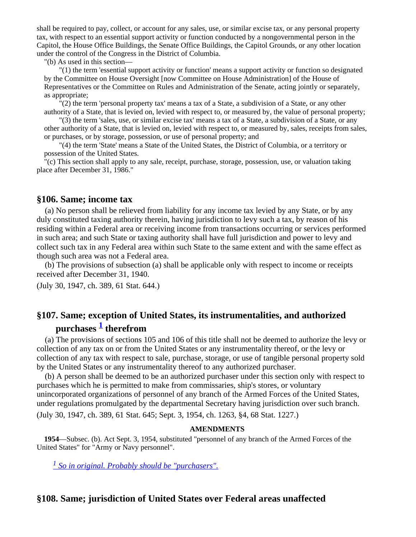shall be required to pay, collect, or account for any sales, use, or similar excise tax, or any personal property tax, with respect to an essential support activity or function conducted by a nongovernmental person in the Capitol, the House Office Buildings, the Senate Office Buildings, the Capitol Grounds, or any other location under the control of the Congress in the District of Columbia.

"(b) As used in this section—

"(1) the term 'essential support activity or function' means a support activity or function so designated by the Committee on House Oversight [now Committee on House Administration] of the House of Representatives or the Committee on Rules and Administration of the Senate, acting jointly or separately, as appropriate;

"(2) the term 'personal property tax' means a tax of a State, a subdivision of a State, or any other authority of a State, that is levied on, levied with respect to, or measured by, the value of personal property;

"(3) the term 'sales, use, or similar excise tax' means a tax of a State, a subdivision of a State, or any other authority of a State, that is levied on, levied with respect to, or measured by, sales, receipts from sales, or purchases, or by storage, possession, or use of personal property; and

"(4) the term 'State' means a State of the United States, the District of Columbia, or a territory or possession of the United States.

"(c) This section shall apply to any sale, receipt, purchase, storage, possession, use, or valuation taking place after December 31, 1986."

# **§106. Same; income tax**

(a) No person shall be relieved from liability for any income tax levied by any State, or by any duly constituted taxing authority therein, having jurisdiction to levy such a tax, by reason of his residing within a Federal area or receiving income from transactions occurring or services performed in such area; and such State or taxing authority shall have full jurisdiction and power to levy and collect such tax in any Federal area within such State to the same extent and with the same effect as though such area was not a Federal area.

(b) The provisions of subsection (a) shall be applicable only with respect to income or receipts received after December 31, 1940.

(July 30, 1947, ch. 389, 61 Stat. 644.)

# **§107. Same; exception of United States, its instrumentalities, and authorized purchases <sup>1</sup> therefrom**

(a) The provisions of sections 105 and 106 of this title shall not be deemed to authorize the levy or collection of any tax on or from the United States or any instrumentality thereof, or the levy or collection of any tax with respect to sale, purchase, storage, or use of tangible personal property sold by the United States or any instrumentality thereof to any authorized purchaser.

(b) A person shall be deemed to be an authorized purchaser under this section only with respect to purchases which he is permitted to make from commissaries, ship's stores, or voluntary unincorporated organizations of personnel of any branch of the Armed Forces of the United States, under regulations promulgated by the departmental Secretary having jurisdiction over such branch. (July 30, 1947, ch. 389, 61 Stat. 645; Sept. 3, 1954, ch. 1263, §4, 68 Stat. 1227.)

#### **AMENDMENTS**

**1954**—Subsec. (b). Act Sept. 3, 1954, substituted "personnel of any branch of the Armed Forces of the United States" for "Army or Navy personnel".

 *So in original. Probably should be "purchasers". <sup>1</sup>*

# **§108. Same; jurisdiction of United States over Federal areas unaffected**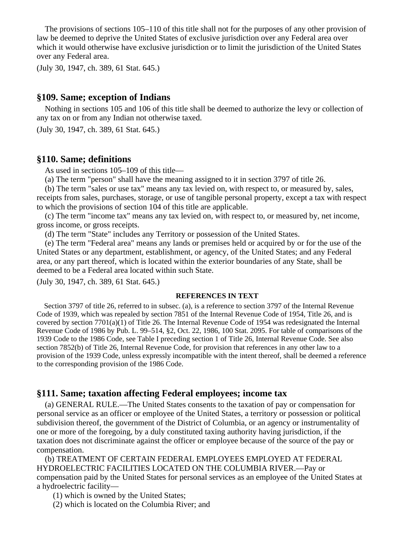The provisions of sections 105–110 of this title shall not for the purposes of any other provision of law be deemed to deprive the United States of exclusive jurisdiction over any Federal area over which it would otherwise have exclusive jurisdiction or to limit the jurisdiction of the United States over any Federal area.

(July 30, 1947, ch. 389, 61 Stat. 645.)

# **§109. Same; exception of Indians**

Nothing in sections 105 and 106 of this title shall be deemed to authorize the levy or collection of any tax on or from any Indian not otherwise taxed.

(July 30, 1947, ch. 389, 61 Stat. 645.)

### **§110. Same; definitions**

As used in sections 105–109 of this title—

(a) The term "person" shall have the meaning assigned to it in section 3797 of title 26.

(b) The term "sales or use tax" means any tax levied on, with respect to, or measured by, sales, receipts from sales, purchases, storage, or use of tangible personal property, except a tax with respect to which the provisions of section 104 of this title are applicable.

(c) The term "income tax" means any tax levied on, with respect to, or measured by, net income, gross income, or gross receipts.

(d) The term "State" includes any Territory or possession of the United States.

(e) The term "Federal area" means any lands or premises held or acquired by or for the use of the United States or any department, establishment, or agency, of the United States; and any Federal area, or any part thereof, which is located within the exterior boundaries of any State, shall be deemed to be a Federal area located within such State.

(July 30, 1947, ch. 389, 61 Stat. 645.)

#### **REFERENCES IN TEXT**

Section 3797 of title 26, referred to in subsec. (a), is a reference to section 3797 of the Internal Revenue Code of 1939, which was repealed by section 7851 of the Internal Revenue Code of 1954, Title 26, and is covered by section 7701(a)(1) of Title 26. The Internal Revenue Code of 1954 was redesignated the Internal Revenue Code of 1986 by Pub. L. 99–514, §2, Oct. 22, 1986, 100 Stat. 2095. For table of comparisons of the 1939 Code to the 1986 Code, see Table I preceding section 1 of Title 26, Internal Revenue Code. See also section 7852(b) of Title 26, Internal Revenue Code, for provision that references in any other law to a provision of the 1939 Code, unless expressly incompatible with the intent thereof, shall be deemed a reference to the corresponding provision of the 1986 Code.

# **§111. Same; taxation affecting Federal employees; income tax**

(a) GENERAL RULE.—The United States consents to the taxation of pay or compensation for personal service as an officer or employee of the United States, a territory or possession or political subdivision thereof, the government of the District of Columbia, or an agency or instrumentality of one or more of the foregoing, by a duly constituted taxing authority having jurisdiction, if the taxation does not discriminate against the officer or employee because of the source of the pay or compensation.

(b) TREATMENT OF CERTAIN FEDERAL EMPLOYEES EMPLOYED AT FEDERAL HYDROELECTRIC FACILITIES LOCATED ON THE COLUMBIA RIVER.—Pay or compensation paid by the United States for personal services as an employee of the United States at a hydroelectric facility—

(1) which is owned by the United States;

(2) which is located on the Columbia River; and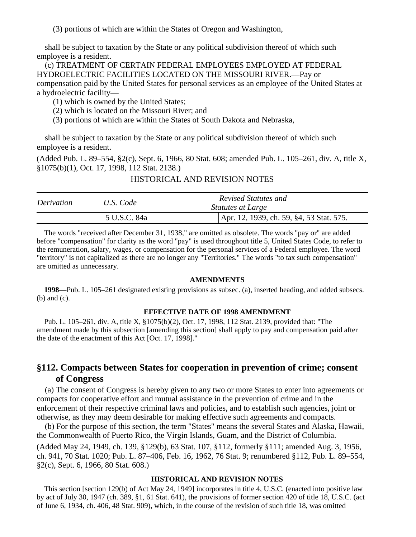(3) portions of which are within the States of Oregon and Washington,

shall be subject to taxation by the State or any political subdivision thereof of which such employee is a resident.

(c) TREATMENT OF CERTAIN FEDERAL EMPLOYEES EMPLOYED AT FEDERAL HYDROELECTRIC FACILITIES LOCATED ON THE MISSOURI RIVER.—Pay or compensation paid by the United States for personal services as an employee of the United States at a hydroelectric facility—

(1) which is owned by the United States;

- (2) which is located on the Missouri River; and
- (3) portions of which are within the States of South Dakota and Nebraska,

shall be subject to taxation by the State or any political subdivision thereof of which such employee is a resident.

(Added Pub. L. 89–554, §2(c), Sept. 6, 1966, 80 Stat. 608; amended Pub. L. 105–261, div. A, title X, §1075(b)(1), Oct. 17, 1998, 112 Stat. 2138.)

# HISTORICAL AND REVISION NOTES

| <i>Derivation</i> | U.S. Code    | Revised Statutes and<br>Statutes at Large |
|-------------------|--------------|-------------------------------------------|
|                   | 5 U.S.C. 84a | Apr. 12, 1939, ch. 59, §4, 53 Stat. 575.  |

The words "received after December 31, 1938," are omitted as obsolete. The words "pay or" are added before "compensation" for clarity as the word "pay" is used throughout title 5, United States Code, to refer to the remuneration, salary, wages, or compensation for the personal services of a Federal employee. The word "territory" is not capitalized as there are no longer any "Territories." The words "to tax such compensation" are omitted as unnecessary.

#### **AMENDMENTS**

**1998**—Pub. L. 105–261 designated existing provisions as subsec. (a), inserted heading, and added subsecs. (b) and (c).

#### **EFFECTIVE DATE OF 1998 AMENDMENT**

Pub. L. 105–261, div. A, title X, §1075(b)(2), Oct. 17, 1998, 112 Stat. 2139, provided that: "The amendment made by this subsection [amending this section] shall apply to pay and compensation paid after the date of the enactment of this Act [Oct. 17, 1998]."

# **§112. Compacts between States for cooperation in prevention of crime; consent of Congress**

(a) The consent of Congress is hereby given to any two or more States to enter into agreements or compacts for cooperative effort and mutual assistance in the prevention of crime and in the enforcement of their respective criminal laws and policies, and to establish such agencies, joint or otherwise, as they may deem desirable for making effective such agreements and compacts.

(b) For the purpose of this section, the term "States" means the several States and Alaska, Hawaii, the Commonwealth of Puerto Rico, the Virgin Islands, Guam, and the District of Columbia.

(Added May 24, 1949, ch. 139, §129(b), 63 Stat. 107, §112, formerly §111; amended Aug. 3, 1956, ch. 941, 70 Stat. 1020; Pub. L. 87–406, Feb. 16, 1962, 76 Stat. 9; renumbered §112, Pub. L. 89–554, §2(c), Sept. 6, 1966, 80 Stat. 608.)

#### **HISTORICAL AND REVISION NOTES**

This section [section 129(b) of Act May 24, 1949] incorporates in title 4, U.S.C. (enacted into positive law by act of July 30, 1947 (ch. 389, §1, 61 Stat. 641), the provisions of former section 420 of title 18, U.S.C. (act of June 6, 1934, ch. 406, 48 Stat. 909), which, in the course of the revision of such title 18, was omitted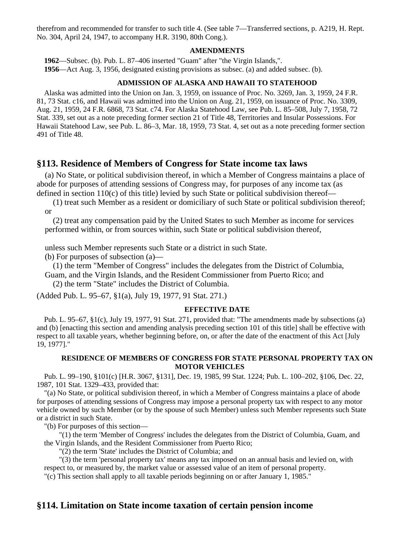therefrom and recommended for transfer to such title 4. (See table 7—Transferred sections, p. A219, H. Rept. No. 304, April 24, 1947, to accompany H.R. 3190, 80th Cong.).

#### **AMENDMENTS**

**1962**—Subsec. (b). Pub. L. 87–406 inserted "Guam" after "the Virgin Islands,". **1956**—Act Aug. 3, 1956, designated existing provisions as subsec. (a) and added subsec. (b).

#### **ADMISSION OF ALASKA AND HAWAII TO STATEHOOD**

Alaska was admitted into the Union on Jan. 3, 1959, on issuance of Proc. No. 3269, Jan. 3, 1959, 24 F.R. 81, 73 Stat. c16, and Hawaii was admitted into the Union on Aug. 21, 1959, on issuance of Proc. No. 3309, Aug. 21, 1959, 24 F.R. 6868, 73 Stat. c74. For Alaska Statehood Law, see Pub. L. 85–508, July 7, 1958, 72 Stat. 339, set out as a note preceding former section 21 of Title 48, Territories and Insular Possessions. For Hawaii Statehood Law, see Pub. L. 86–3, Mar. 18, 1959, 73 Stat. 4, set out as a note preceding former section 491 of Title 48.

# **§113. Residence of Members of Congress for State income tax laws**

(a) No State, or political subdivision thereof, in which a Member of Congress maintains a place of abode for purposes of attending sessions of Congress may, for purposes of any income tax (as defined in section 110(c) of this title) levied by such State or political subdivision thereof—

(1) treat such Member as a resident or domiciliary of such State or political subdivision thereof; or

(2) treat any compensation paid by the United States to such Member as income for services performed within, or from sources within, such State or political subdivision thereof,

unless such Member represents such State or a district in such State.

(b) For purposes of subsection (a)—

(1) the term "Member of Congress" includes the delegates from the District of Columbia, Guam, and the Virgin Islands, and the Resident Commissioner from Puerto Rico; and

(2) the term "State" includes the District of Columbia.

(Added Pub. L. 95–67, §1(a), July 19, 1977, 91 Stat. 271.)

#### **EFFECTIVE DATE**

Pub. L. 95–67, §1(c), July 19, 1977, 91 Stat. 271, provided that: "The amendments made by subsections (a) and (b) [enacting this section and amending analysis preceding section 101 of this title] shall be effective with respect to all taxable years, whether beginning before, on, or after the date of the enactment of this Act [July 19, 1977]."

#### **RESIDENCE OF MEMBERS OF CONGRESS FOR STATE PERSONAL PROPERTY TAX ON MOTOR VEHICLES**

Pub. L. 99–190, §101(c) [H.R. 3067, §131], Dec. 19, 1985, 99 Stat. 1224; Pub. L. 100–202, §106, Dec. 22, 1987, 101 Stat. 1329–433, provided that:

"(a) No State, or political subdivision thereof, in which a Member of Congress maintains a place of abode for purposes of attending sessions of Congress may impose a personal property tax with respect to any motor vehicle owned by such Member (or by the spouse of such Member) unless such Member represents such State or a district in such State.

"(b) For purposes of this section—

"(1) the term 'Member of Congress' includes the delegates from the District of Columbia, Guam, and the Virgin Islands, and the Resident Commissioner from Puerto Rico;

"(2) the term 'State' includes the District of Columbia; and

"(3) the term 'personal property tax' means any tax imposed on an annual basis and levied on, with respect to, or measured by, the market value or assessed value of an item of personal property.

"(c) This section shall apply to all taxable periods beginning on or after January 1, 1985."

# **§114. Limitation on State income taxation of certain pension income**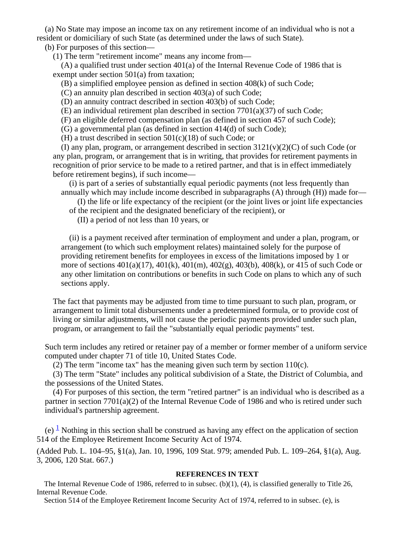(a) No State may impose an income tax on any retirement income of an individual who is not a resident or domiciliary of such State (as determined under the laws of such State).

(b) For purposes of this section—

(1) The term "retirement income" means any income from—

(A) a qualified trust under section 401(a) of the Internal Revenue Code of 1986 that is exempt under section 501(a) from taxation;

(B) a simplified employee pension as defined in section 408(k) of such Code;

(C) an annuity plan described in section 403(a) of such Code;

(D) an annuity contract described in section 403(b) of such Code;

(E) an individual retirement plan described in section 7701(a)(37) of such Code;

(F) an eligible deferred compensation plan (as defined in section 457 of such Code);

(G) a governmental plan (as defined in section 414(d) of such Code);

(H) a trust described in section  $501(c)(18)$  of such Code; or

(I) any plan, program, or arrangement described in section 3121(v)(2)(C) of such Code (or any plan, program, or arrangement that is in writing, that provides for retirement payments in recognition of prior service to be made to a retired partner, and that is in effect immediately before retirement begins), if such income—

(i) is part of a series of substantially equal periodic payments (not less frequently than annually which may include income described in subparagraphs (A) through (H)) made for—

(I) the life or life expectancy of the recipient (or the joint lives or joint life expectancies of the recipient and the designated beneficiary of the recipient), or

(II) a period of not less than 10 years, or

(ii) is a payment received after termination of employment and under a plan, program, or arrangement (to which such employment relates) maintained solely for the purpose of providing retirement benefits for employees in excess of the limitations imposed by 1 or more of sections 401(a)(17), 401(k), 401(m), 402(g), 403(b), 408(k), or 415 of such Code or any other limitation on contributions or benefits in such Code on plans to which any of such sections apply.

The fact that payments may be adjusted from time to time pursuant to such plan, program, or arrangement to limit total disbursements under a predetermined formula, or to provide cost of living or similar adjustments, will not cause the periodic payments provided under such plan, program, or arrangement to fail the "substantially equal periodic payments" test.

Such term includes any retired or retainer pay of a member or former member of a uniform service computed under chapter 71 of title 10, United States Code.

(2) The term "income tax" has the meaning given such term by section 110(c).

(3) The term "State" includes any political subdivision of a State, the District of Columbia, and the possessions of the United States.

(4) For purposes of this section, the term "retired partner" is an individual who is described as a partner in section 7701(a)(2) of the Internal Revenue Code of 1986 and who is retired under such individual's partnership agreement.

<span id="page-22-0"></span>(e)  $\frac{1}{2}$  $\frac{1}{2}$  $\frac{1}{2}$  Nothing in this section shall be construed as having any effect on the application of section 514 of the Employee Retirement Income Security Act of 1974.

(Added Pub. L. 104–95, §1(a), Jan. 10, 1996, 109 Stat. 979; amended Pub. L. 109–264, §1(a), Aug. 3, 2006, 120 Stat. 667.)

### **REFERENCES IN TEXT**

The Internal Revenue Code of 1986, referred to in subsec. (b)(1), (4), is classified generally to Title 26, Internal Revenue Code.

Section 514 of the Employee Retirement Income Security Act of 1974, referred to in subsec. (e), is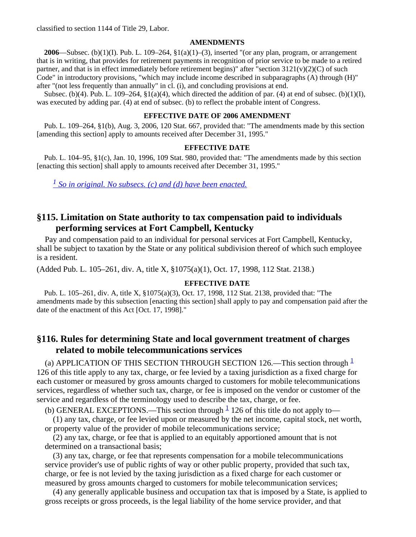classified to section 1144 of Title 29, Labor.

#### **AMENDMENTS**

**2006**—Subsec. (b)(1)(I). Pub. L. 109–264, §1(a)(1)–(3), inserted "(or any plan, program, or arrangement that is in writing, that provides for retirement payments in recognition of prior service to be made to a retired partner, and that is in effect immediately before retirement begins)" after "section  $3121(v)(2)(C)$  of such Code" in introductory provisions, "which may include income described in subparagraphs (A) through (H)" after "(not less frequently than annually" in cl. (i), and concluding provisions at end.

Subsec. (b)(4). Pub. L. 109–264,  $\S1(a)(4)$ , which directed the addition of par. (4) at end of subsec. (b)(1)(I), was executed by adding par. (4) at end of subsec. (b) to reflect the probable intent of Congress.

# **EFFECTIVE DATE OF 2006 AMENDMENT**

Pub. L. 109–264, §1(b), Aug. 3, 2006, 120 Stat. 667, provided that: "The amendments made by this section [amending this section] apply to amounts received after December 31, 1995."

#### **EFFECTIVE DATE**

<span id="page-23-0"></span>Pub. L. 104–95, §1(c), Jan. 10, 1996, 109 Stat. 980, provided that: "The amendments made by this section [enacting this section] shall apply to amounts received after December 31, 1995."

<sup>1</sup> [So in original. No subsecs. \(c\) and \(d\) have been enacted.](#page-22-0)

# **§115. Limitation on State authority to tax compensation paid to individuals performing services at Fort Campbell, Kentucky**

Pay and compensation paid to an individual for personal services at Fort Campbell, Kentucky, shall be subject to taxation by the State or any political subdivision thereof of which such employee is a resident.

(Added Pub. L. 105–261, div. A, title X, §1075(a)(1), Oct. 17, 1998, 112 Stat. 2138.)

#### **EFFECTIVE DATE**

Pub. L. 105–261, div. A, title X, §1075(a)(3), Oct. 17, 1998, 112 Stat. 2138, provided that: "The amendments made by this subsection [enacting this section] shall apply to pay and compensation paid after the date of the enactment of this Act [Oct. 17, 1998]."

# **§116. Rules for determining State and local government treatment of charges related to mobile telecommunications services**

(a) APPLICATION OF THIS SECTION THROUGH SECTION [1](#page-24-0)26.—This section through  $\frac{1}{1}$ 126 of this title apply to any tax, charge, or fee levied by a taxing jurisdiction as a fixed charge for each customer or measured by gross amounts charged to customers for mobile telecommunications services, regardless of whether such tax, charge, or fee is imposed on the vendor or customer of the service and regardless of the terminology used to describe the tax, charge, or fee.

(b) GENERAL EXCEPTIONS.—This section through  $\frac{1}{2}$  $\frac{1}{2}$  $\frac{1}{2}$  126 of this title do not apply to—

 $(1)$  any tax, charge, or fee levied upon or measured by the net income, capital stock, net worth, or property value of the provider of mobile telecommunications service;

(2) any tax, charge, or fee that is applied to an equitably apportioned amount that is not determined on a transactional basis;

(3) any tax, charge, or fee that represents compensation for a mobile telecommunications service provider's use of public rights of way or other public property, provided that such tax, charge, or fee is not levied by the taxing jurisdiction as a fixed charge for each customer or measured by gross amounts charged to customers for mobile telecommunication services;

(4) any generally applicable business and occupation tax that is imposed by a State, is applied to gross receipts or gross proceeds, is the legal liability of the home service provider, and that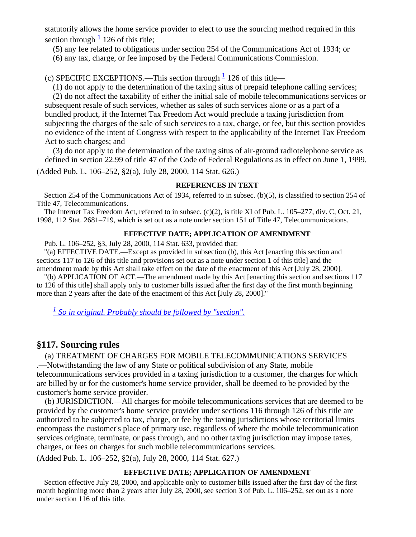statutorily allows the home service provider to elect to use the sourcing method required in this section through  $\frac{1}{2}$  $\frac{1}{2}$  $\frac{1}{2}$  126 of this title;

(5) any fee related to obligations under section 254 of the Communications Act of 1934; or

(6) any tax, charge, or fee imposed by the Federal Communications Commission.

<span id="page-24-1"></span>(c) SPECIFIC EXCEPTIONS.—This section through  $\frac{1}{2}$  $\frac{1}{2}$  $\frac{1}{2}$  126 of this title—

(1) do not apply to the determination of the taxing situs of prepaid telephone calling services;

(2) do not affect the taxability of either the initial sale of mobile telecommunications services or subsequent resale of such services, whether as sales of such services alone or as a part of a bundled product, if the Internet Tax Freedom Act would preclude a taxing jurisdiction from subjecting the charges of the sale of such services to a tax, charge, or fee, but this section provides no evidence of the intent of Congress with respect to the applicability of the Internet Tax Freedom Act to such charges; and

(3) do not apply to the determination of the taxing situs of air-ground radiotelephone service as defined in section 22.99 of title 47 of the Code of Federal Regulations as in effect on June 1, 1999.

(Added Pub. L. 106–252, §2(a), July 28, 2000, 114 Stat. 626.)

#### **REFERENCES IN TEXT**

Section 254 of the Communications Act of 1934, referred to in subsec. (b)(5), is classified to section 254 of Title 47, Telecommunications.

The Internet Tax Freedom Act, referred to in subsec. (c)(2), is title XI of Pub. L. 105–277, div. C, Oct. 21, 1998, 112 Stat. 2681–719, which is set out as a note under section 151 of Title 47, Telecommunications.

#### **EFFECTIVE DATE; APPLICATION OF AMENDMENT**

Pub. L. 106–252, §3, July 28, 2000, 114 Stat. 633, provided that:

"(a) EFFECTIVE DATE.—Except as provided in subsection (b), this Act [enacting this section and sections 117 to 126 of this title and provisions set out as a note under section 1 of this title] and the amendment made by this Act shall take effect on the date of the enactment of this Act [July 28, 2000].

"(b) APPLICATION OF ACT.—The amendment made by this Act [enacting this section and sections 117 to 126 of this title] shall apply only to customer bills issued after the first day of the first month beginning more than 2 years after the date of the enactment of this Act [July 28, 2000]."

 *[So in original. Probably should be followed by "section".](#page-24-1) <sup>1</sup>*

# <span id="page-24-0"></span>**§117. Sourcing rules**

(a) TREATMENT OF CHARGES FOR MOBILE TELECOMMUNICATIONS SERVICES .—Notwithstanding the law of any State or political subdivision of any State, mobile telecommunications services provided in a taxing jurisdiction to a customer, the charges for which are billed by or for the customer's home service provider, shall be deemed to be provided by the customer's home service provider.

(b) JURISDICTION.—All charges for mobile telecommunications services that are deemed to be provided by the customer's home service provider under sections 116 through 126 of this title are authorized to be subjected to tax, charge, or fee by the taxing jurisdictions whose territorial limits encompass the customer's place of primary use, regardless of where the mobile telecommunication services originate, terminate, or pass through, and no other taxing jurisdiction may impose taxes, charges, or fees on charges for such mobile telecommunications services.

(Added Pub. L. 106–252, §2(a), July 28, 2000, 114 Stat. 627.)

#### **EFFECTIVE DATE; APPLICATION OF AMENDMENT**

Section effective July 28, 2000, and applicable only to customer bills issued after the first day of the first month beginning more than 2 years after July 28, 2000, see section 3 of Pub. L. 106–252, set out as a note under section 116 of this title.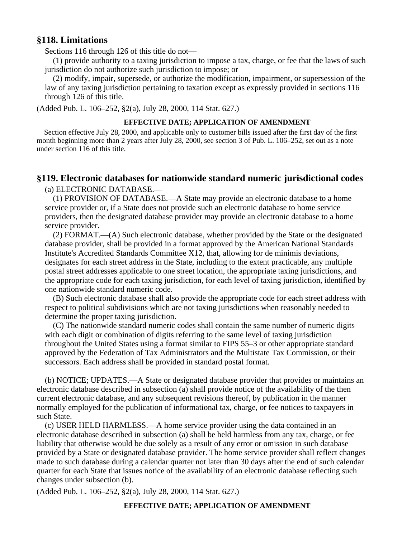# **§118. Limitations**

Sections 116 through 126 of this title do not—

(1) provide authority to a taxing jurisdiction to impose a tax, charge, or fee that the laws of such jurisdiction do not authorize such jurisdiction to impose; or

(2) modify, impair, supersede, or authorize the modification, impairment, or supersession of the law of any taxing jurisdiction pertaining to taxation except as expressly provided in sections 116 through 126 of this title.

(Added Pub. L. 106–252, §2(a), July 28, 2000, 114 Stat. 627.)

#### **EFFECTIVE DATE; APPLICATION OF AMENDMENT**

Section effective July 28, 2000, and applicable only to customer bills issued after the first day of the first month beginning more than 2 years after July 28, 2000, see section 3 of Pub. L. 106–252, set out as a note under section 116 of this title.

# **§119. Electronic databases for nationwide standard numeric jurisdictional codes**

### (a) ELECTRONIC DATABASE.—

(1) PROVISION OF DATABASE.—A State may provide an electronic database to a home service provider or, if a State does not provide such an electronic database to home service providers, then the designated database provider may provide an electronic database to a home service provider.

(2) FORMAT.—(A) Such electronic database, whether provided by the State or the designated database provider, shall be provided in a format approved by the American National Standards Institute's Accredited Standards Committee X12, that, allowing for de minimis deviations, designates for each street address in the State, including to the extent practicable, any multiple postal street addresses applicable to one street location, the appropriate taxing jurisdictions, and the appropriate code for each taxing jurisdiction, for each level of taxing jurisdiction, identified by one nationwide standard numeric code.

(B) Such electronic database shall also provide the appropriate code for each street address with respect to political subdivisions which are not taxing jurisdictions when reasonably needed to determine the proper taxing jurisdiction.

(C) The nationwide standard numeric codes shall contain the same number of numeric digits with each digit or combination of digits referring to the same level of taxing jurisdiction throughout the United States using a format similar to FIPS 55–3 or other appropriate standard approved by the Federation of Tax Administrators and the Multistate Tax Commission, or their successors. Each address shall be provided in standard postal format.

(b) NOTICE; UPDATES.—A State or designated database provider that provides or maintains an electronic database described in subsection (a) shall provide notice of the availability of the then current electronic database, and any subsequent revisions thereof, by publication in the manner normally employed for the publication of informational tax, charge, or fee notices to taxpayers in such State.

(c) USER HELD HARMLESS.—A home service provider using the data contained in an electronic database described in subsection (a) shall be held harmless from any tax, charge, or fee liability that otherwise would be due solely as a result of any error or omission in such database provided by a State or designated database provider. The home service provider shall reflect changes made to such database during a calendar quarter not later than 30 days after the end of such calendar quarter for each State that issues notice of the availability of an electronic database reflecting such changes under subsection (b).

(Added Pub. L. 106–252, §2(a), July 28, 2000, 114 Stat. 627.)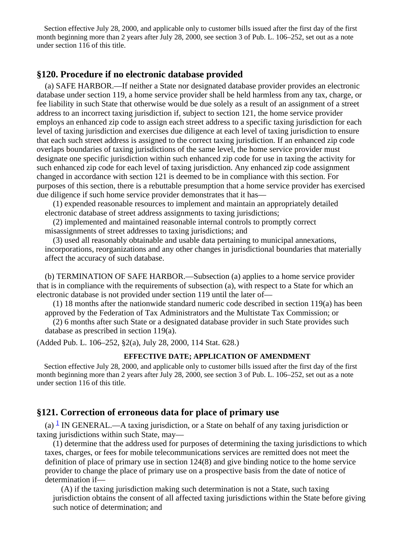Section effective July 28, 2000, and applicable only to customer bills issued after the first day of the first month beginning more than 2 years after July 28, 2000, see section 3 of Pub. L. 106–252, set out as a note under section 116 of this title.

# **§120. Procedure if no electronic database provided**

(a) SAFE HARBOR.—If neither a State nor designated database provider provides an electronic database under section 119, a home service provider shall be held harmless from any tax, charge, or fee liability in such State that otherwise would be due solely as a result of an assignment of a street address to an incorrect taxing jurisdiction if, subject to section 121, the home service provider employs an enhanced zip code to assign each street address to a specific taxing jurisdiction for each level of taxing jurisdiction and exercises due diligence at each level of taxing jurisdiction to ensure that each such street address is assigned to the correct taxing jurisdiction. If an enhanced zip code overlaps boundaries of taxing jurisdictions of the same level, the home service provider must designate one specific jurisdiction within such enhanced zip code for use in taxing the activity for such enhanced zip code for each level of taxing jurisdiction. Any enhanced zip code assignment changed in accordance with section 121 is deemed to be in compliance with this section. For purposes of this section, there is a rebuttable presumption that a home service provider has exercised due diligence if such home service provider demonstrates that it has—

(1) expended reasonable resources to implement and maintain an appropriately detailed electronic database of street address assignments to taxing jurisdictions;

(2) implemented and maintained reasonable internal controls to promptly correct misassignments of street addresses to taxing jurisdictions; and

(3) used all reasonably obtainable and usable data pertaining to municipal annexations, incorporations, reorganizations and any other changes in jurisdictional boundaries that materially affect the accuracy of such database.

(b) TERMINATION OF SAFE HARBOR.—Subsection (a) applies to a home service provider that is in compliance with the requirements of subsection (a), with respect to a State for which an electronic database is not provided under section 119 until the later of—

 $(1)$  18 months after the nationwide standard numeric code described in section 119(a) has been approved by the Federation of Tax Administrators and the Multistate Tax Commission; or

(2) 6 months after such State or a designated database provider in such State provides such database as prescribed in section 119(a).

(Added Pub. L. 106–252, §2(a), July 28, 2000, 114 Stat. 628.)

#### **EFFECTIVE DATE; APPLICATION OF AMENDMENT**

Section effective July 28, 2000, and applicable only to customer bills issued after the first day of the first month beginning more than 2 years after July 28, 2000, see section 3 of Pub. L. 106–252, set out as a note under section 116 of this title.

# **§121. Correction of erroneous data for place of primary use**

<span id="page-26-0"></span>(a)  $\frac{1}{2}$  $\frac{1}{2}$  $\frac{1}{2}$  IN GENERAL.—A taxing jurisdiction, or a State on behalf of any taxing jurisdiction or taxing jurisdictions within such State, may—

(1) determine that the address used for purposes of determining the taxing jurisdictions to which taxes, charges, or fees for mobile telecommunications services are remitted does not meet the definition of place of primary use in section 124(8) and give binding notice to the home service provider to change the place of primary use on a prospective basis from the date of notice of determination if—

(A) if the taxing jurisdiction making such determination is not a State, such taxing jurisdiction obtains the consent of all affected taxing jurisdictions within the State before giving such notice of determination; and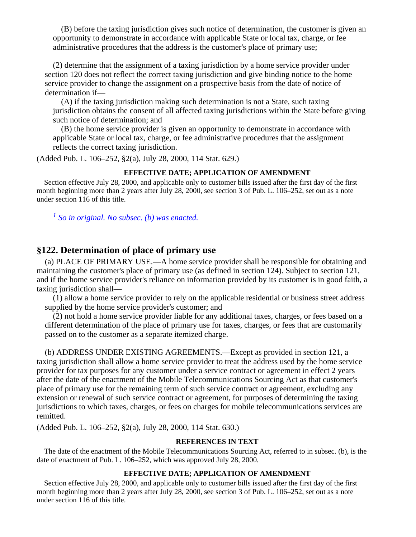(B) before the taxing jurisdiction gives such notice of determination, the customer is given an opportunity to demonstrate in accordance with applicable State or local tax, charge, or fee administrative procedures that the address is the customer's place of primary use;

(2) determine that the assignment of a taxing jurisdiction by a home service provider under section 120 does not reflect the correct taxing jurisdiction and give binding notice to the home service provider to change the assignment on a prospective basis from the date of notice of determination if—

(A) if the taxing jurisdiction making such determination is not a State, such taxing jurisdiction obtains the consent of all affected taxing jurisdictions within the State before giving such notice of determination; and

(B) the home service provider is given an opportunity to demonstrate in accordance with applicable State or local tax, charge, or fee administrative procedures that the assignment reflects the correct taxing jurisdiction.

(Added Pub. L. 106–252, §2(a), July 28, 2000, 114 Stat. 629.)

#### **EFFECTIVE DATE; APPLICATION OF AMENDMENT**

Section effective July 28, 2000, and applicable only to customer bills issued after the first day of the first month beginning more than 2 years after July 28, 2000, see section 3 of Pub. L. 106–252, set out as a note under section 116 of this title.

 *[So in original. No subsec. \(b\) was enacted.](#page-26-0) <sup>1</sup>*

# <span id="page-27-0"></span>**§122. Determination of place of primary use**

(a) PLACE OF PRIMARY USE.—A home service provider shall be responsible for obtaining and maintaining the customer's place of primary use (as defined in section 124). Subject to section 121, and if the home service provider's reliance on information provided by its customer is in good faith, a taxing jurisdiction shall—

(1) allow a home service provider to rely on the applicable residential or business street address supplied by the home service provider's customer; and

(2) not hold a home service provider liable for any additional taxes, charges, or fees based on a different determination of the place of primary use for taxes, charges, or fees that are customarily passed on to the customer as a separate itemized charge.

(b) ADDRESS UNDER EXISTING AGREEMENTS.—Except as provided in section 121, a taxing jurisdiction shall allow a home service provider to treat the address used by the home service provider for tax purposes for any customer under a service contract or agreement in effect 2 years after the date of the enactment of the Mobile Telecommunications Sourcing Act as that customer's place of primary use for the remaining term of such service contract or agreement, excluding any extension or renewal of such service contract or agreement, for purposes of determining the taxing jurisdictions to which taxes, charges, or fees on charges for mobile telecommunications services are remitted.

(Added Pub. L. 106–252, §2(a), July 28, 2000, 114 Stat. 630.)

#### **REFERENCES IN TEXT**

The date of the enactment of the Mobile Telecommunications Sourcing Act, referred to in subsec. (b), is the date of enactment of Pub. L. 106–252, which was approved July 28, 2000.

### **EFFECTIVE DATE; APPLICATION OF AMENDMENT**

Section effective July 28, 2000, and applicable only to customer bills issued after the first day of the first month beginning more than 2 years after July 28, 2000, see section 3 of Pub. L. 106–252, set out as a note under section 116 of this title.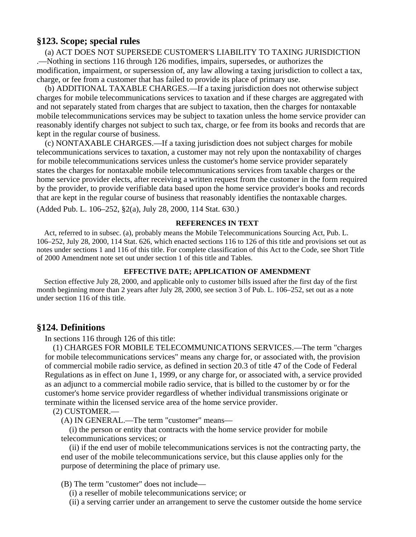# **§123. Scope; special rules**

(a) ACT DOES NOT SUPERSEDE CUSTOMER'S LIABILITY TO TAXING JURISDICTION .—Nothing in sections 116 through 126 modifies, impairs, supersedes, or authorizes the modification, impairment, or supersession of, any law allowing a taxing jurisdiction to collect a tax, charge, or fee from a customer that has failed to provide its place of primary use.

(b) ADDITIONAL TAXABLE CHARGES.—If a taxing jurisdiction does not otherwise subject charges for mobile telecommunications services to taxation and if these charges are aggregated with and not separately stated from charges that are subject to taxation, then the charges for nontaxable mobile telecommunications services may be subject to taxation unless the home service provider can reasonably identify charges not subject to such tax, charge, or fee from its books and records that are kept in the regular course of business.

(c) NONTAXABLE CHARGES.—If a taxing jurisdiction does not subject charges for mobile telecommunications services to taxation, a customer may not rely upon the nontaxability of charges for mobile telecommunications services unless the customer's home service provider separately states the charges for nontaxable mobile telecommunications services from taxable charges or the home service provider elects, after receiving a written request from the customer in the form required by the provider, to provide verifiable data based upon the home service provider's books and records that are kept in the regular course of business that reasonably identifies the nontaxable charges.

(Added Pub. L. 106–252, §2(a), July 28, 2000, 114 Stat. 630.)

### **REFERENCES IN TEXT**

Act, referred to in subsec. (a), probably means the Mobile Telecommunications Sourcing Act, Pub. L. 106–252, July 28, 2000, 114 Stat. 626, which enacted sections 116 to 126 of this title and provisions set out as notes under sections 1 and 116 of this title. For complete classification of this Act to the Code, see Short Title of 2000 Amendment note set out under section 1 of this title and Tables.

#### **EFFECTIVE DATE; APPLICATION OF AMENDMENT**

Section effective July 28, 2000, and applicable only to customer bills issued after the first day of the first month beginning more than 2 years after July 28, 2000, see section 3 of Pub. L. 106–252, set out as a note under section 116 of this title.

# **§124. Definitions**

In sections 116 through 126 of this title:

(1) CHARGES FOR MOBILE TELECOMMUNICATIONS SERVICES.—The term "charges for mobile telecommunications services" means any charge for, or associated with, the provision of commercial mobile radio service, as defined in section 20.3 of title 47 of the Code of Federal Regulations as in effect on June 1, 1999, or any charge for, or associated with, a service provided as an adjunct to a commercial mobile radio service, that is billed to the customer by or for the customer's home service provider regardless of whether individual transmissions originate or terminate within the licensed service area of the home service provider.

(2) CUSTOMER.—

(A) IN GENERAL.—The term "customer" means—

(i) the person or entity that contracts with the home service provider for mobile telecommunications services; or

(ii) if the end user of mobile telecommunications services is not the contracting party, the end user of the mobile telecommunications service, but this clause applies only for the purpose of determining the place of primary use.

(B) The term "customer" does not include—

(i) a reseller of mobile telecommunications service; or

(ii) a serving carrier under an arrangement to serve the customer outside the home service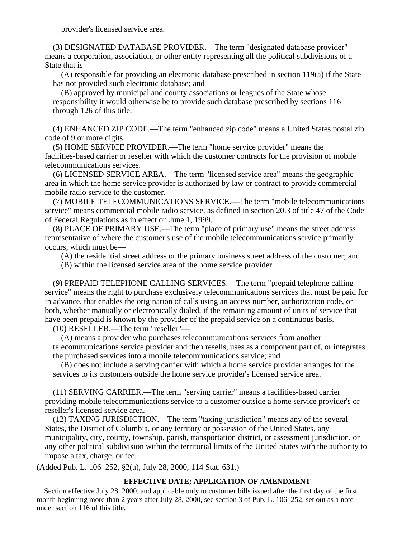provider's licensed service area.

(3) DESIGNATED DATABASE PROVIDER.—The term "designated database provider" means a corporation, association, or other entity representing all the political subdivisions of a State that is—

(A) responsible for providing an electronic database prescribed in section 119(a) if the State has not provided such electronic database; and

(B) approved by municipal and county associations or leagues of the State whose responsibility it would otherwise be to provide such database prescribed by sections 116 through 126 of this title.

(4) ENHANCED ZIP CODE.—The term "enhanced zip code" means a United States postal zip code of 9 or more digits.

(5) HOME SERVICE PROVIDER.—The term "home service provider" means the facilities-based carrier or reseller with which the customer contracts for the provision of mobile telecommunications services.

(6) LICENSED SERVICE AREA.—The term "licensed service area" means the geographic area in which the home service provider is authorized by law or contract to provide commercial mobile radio service to the customer.

(7) MOBILE TELECOMMUNICATIONS SERVICE.—The term "mobile telecommunications service" means commercial mobile radio service, as defined in section 20.3 of title 47 of the Code of Federal Regulations as in effect on June 1, 1999.

(8) PLACE OF PRIMARY USE.—The term "place of primary use" means the street address representative of where the customer's use of the mobile telecommunications service primarily occurs, which must be—

(A) the residential street address or the primary business street address of the customer; and

(B) within the licensed service area of the home service provider.

(9) PREPAID TELEPHONE CALLING SERVICES.—The term "prepaid telephone calling service" means the right to purchase exclusively telecommunications services that must be paid for in advance, that enables the origination of calls using an access number, authorization code, or both, whether manually or electronically dialed, if the remaining amount of units of service that have been prepaid is known by the provider of the prepaid service on a continuous basis.

(10) RESELLER.—The term "reseller"—

(A) means a provider who purchases telecommunications services from another telecommunications service provider and then resells, uses as a component part of, or integrates the purchased services into a mobile telecommunications service; and

(B) does not include a serving carrier with which a home service provider arranges for the services to its customers outside the home service provider's licensed service area.

(11) SERVING CARRIER.—The term "serving carrier" means a facilities-based carrier providing mobile telecommunications service to a customer outside a home service provider's or reseller's licensed service area.

(12) TAXING JURISDICTION.—The term "taxing jurisdiction" means any of the several States, the District of Columbia, or any territory or possession of the United States, any municipality, city, county, township, parish, transportation district, or assessment jurisdiction, or any other political subdivision within the territorial limits of the United States with the authority to impose a tax, charge, or fee.

(Added Pub. L. 106–252, §2(a), July 28, 2000, 114 Stat. 631.)

# **EFFECTIVE DATE; APPLICATION OF AMENDMENT**

Section effective July 28, 2000, and applicable only to customer bills issued after the first day of the first month beginning more than 2 years after July 28, 2000, see section 3 of Pub. L. 106–252, set out as a note under section 116 of this title.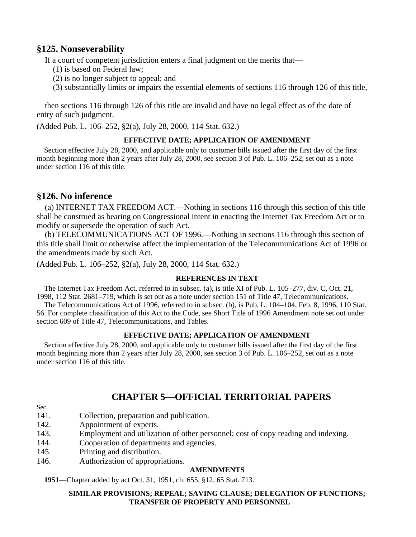# **§125. Nonseverability**

If a court of competent jurisdiction enters a final judgment on the merits that—

- (1) is based on Federal law;
- (2) is no longer subject to appeal; and
- (3) substantially limits or impairs the essential elements of sections 116 through 126 of this title,

then sections 116 through 126 of this title are invalid and have no legal effect as of the date of entry of such judgment.

(Added Pub. L. 106–252, §2(a), July 28, 2000, 114 Stat. 632.)

# **EFFECTIVE DATE; APPLICATION OF AMENDMENT**

Section effective July 28, 2000, and applicable only to customer bills issued after the first day of the first month beginning more than 2 years after July 28, 2000, see section 3 of Pub. L. 106–252, set out as a note under section 116 of this title.

# **§126. No inference**

(a) INTERNET TAX FREEDOM ACT.—Nothing in sections 116 through this section of this title shall be construed as bearing on Congressional intent in enacting the Internet Tax Freedom Act or to modify or supersede the operation of such Act.

(b) TELECOMMUNICATIONS ACT OF 1996.—Nothing in sections 116 through this section of this title shall limit or otherwise affect the implementation of the Telecommunications Act of 1996 or the amendments made by such Act.

(Added Pub. L. 106–252, §2(a), July 28, 2000, 114 Stat. 632.)

# **REFERENCES IN TEXT**

The Internet Tax Freedom Act, referred to in subsec. (a), is title XI of Pub. L. 105–277, div. C, Oct. 21, 1998, 112 Stat. 2681–719, which is set out as a note under section 151 of Title 47, Telecommunications.

The Telecommunications Act of 1996, referred to in subsec. (b), is Pub. L. 104–104, Feb. 8, 1996, 110 Stat. 56. For complete classification of this Act to the Code, see Short Title of 1996 Amendment note set out under section 609 of Title 47, Telecommunications, and Tables.

# **EFFECTIVE DATE; APPLICATION OF AMENDMENT**

Section effective July 28, 2000, and applicable only to customer bills issued after the first day of the first month beginning more than 2 years after July 28, 2000, see section 3 of Pub. L. 106–252, set out as a note under section 116 of this title.

# **CHAPTER 5—OFFICIAL TERRITORIAL PAPERS**

- 141. Collection, preparation and publication.
- 142. Appointment of experts.

Sec.

- 143. Employment and utilization of other personnel; cost of copy reading and indexing.
- 144. Cooperation of departments and agencies.
- 145. Printing and distribution.
- 146. Authorization of appropriations.

# **AMENDMENTS**

**1951**—Chapter added by act Oct. 31, 1951, ch. 655, §12, 65 Stat. 713.

### **SIMILAR PROVISIONS; REPEAL; SAVING CLAUSE; DELEGATION OF FUNCTIONS; TRANSFER OF PROPERTY AND PERSONNEL**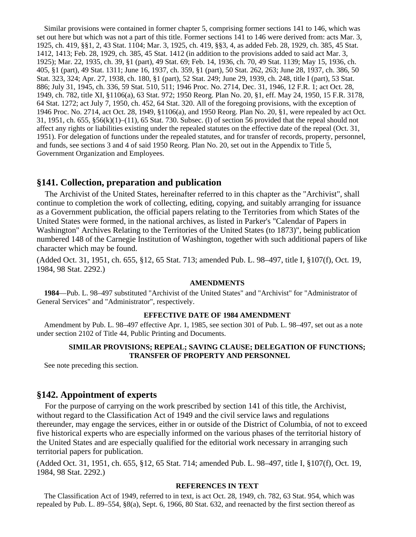Similar provisions were contained in former chapter 5, comprising former sections 141 to 146, which was set out here but which was not a part of this title. Former sections 141 to 146 were derived from: acts Mar. 3, 1925, ch. 419, §§1, 2, 43 Stat. 1104; Mar. 3, 1925, ch. 419, §§3, 4, as added Feb. 28, 1929, ch. 385, 45 Stat. 1412, 1413; Feb. 28, 1929, ch. 385, 45 Stat. 1412 (in addition to the provisions added to said act Mar. 3, 1925); Mar. 22, 1935, ch. 39, §1 (part), 49 Stat. 69; Feb. 14, 1936, ch. 70, 49 Stat. 1139; May 15, 1936, ch. 405, §1 (part), 49 Stat. 1311; June 16, 1937, ch. 359, §1 (part), 50 Stat. 262, 263; June 28, 1937, ch. 386, 50 Stat. 323, 324; Apr. 27, 1938, ch. 180, §1 (part), 52 Stat. 249; June 29, 1939, ch. 248, title I (part), 53 Stat. 886; July 31, 1945, ch. 336, 59 Stat. 510, 511; 1946 Proc. No. 2714, Dec. 31, 1946, 12 F.R. 1; act Oct. 28, 1949, ch. 782, title XI, §1106(a), 63 Stat. 972; 1950 Reorg. Plan No. 20, §1, eff. May 24, 1950, 15 F.R. 3178, 64 Stat. 1272; act July 7, 1950, ch. 452, 64 Stat. 320. All of the foregoing provisions, with the exception of 1946 Proc. No. 2714, act Oct. 28, 1949, §1106(a), and 1950 Reorg. Plan No. 20, §1, were repealed by act Oct. 31, 1951, ch.  $655$ ,  $§56(k)(1)–(11)$ , 65 Stat. 730. Subsec. (1) of section 56 provided that the repeal should not affect any rights or liabilities existing under the repealed statutes on the effective date of the repeal (Oct. 31, 1951). For delegation of functions under the repealed statutes, and for transfer of records, property, personnel, and funds, see sections 3 and 4 of said 1950 Reorg. Plan No. 20, set out in the Appendix to Title 5, Government Organization and Employees.

# **§141. Collection, preparation and publication**

The Archivist of the United States, hereinafter referred to in this chapter as the "Archivist", shall continue to completion the work of collecting, editing, copying, and suitably arranging for issuance as a Government publication, the official papers relating to the Territories from which States of the United States were formed, in the national archives, as listed in Parker's "Calendar of Papers in Washington" Archives Relating to the Territories of the United States (to 1873)", being publication numbered 148 of the Carnegie Institution of Washington, together with such additional papers of like character which may be found.

(Added Oct. 31, 1951, ch. 655, §12, 65 Stat. 713; amended Pub. L. 98–497, title I, §107(f), Oct. 19, 1984, 98 Stat. 2292.)

#### **AMENDMENTS**

**1984**—Pub. L. 98–497 substituted "Archivist of the United States" and "Archivist" for "Administrator of General Services" and "Administrator", respectively.

#### **EFFECTIVE DATE OF 1984 AMENDMENT**

Amendment by Pub. L. 98–497 effective Apr. 1, 1985, see section 301 of Pub. L. 98–497, set out as a note under section 2102 of Title 44, Public Printing and Documents.

#### **SIMILAR PROVISIONS; REPEAL; SAVING CLAUSE; DELEGATION OF FUNCTIONS; TRANSFER OF PROPERTY AND PERSONNEL**

See note preceding this section.

# **§142. Appointment of experts**

For the purpose of carrying on the work prescribed by section 141 of this title, the Archivist, without regard to the Classification Act of 1949 and the civil service laws and regulations thereunder, may engage the services, either in or outside of the District of Columbia, of not to exceed five historical experts who are especially informed on the various phases of the territorial history of the United States and are especially qualified for the editorial work necessary in arranging such territorial papers for publication.

(Added Oct. 31, 1951, ch. 655, §12, 65 Stat. 714; amended Pub. L. 98–497, title I, §107(f), Oct. 19, 1984, 98 Stat. 2292.)

#### **REFERENCES IN TEXT**

The Classification Act of 1949, referred to in text, is act Oct. 28, 1949, ch. 782, 63 Stat. 954, which was repealed by Pub. L. 89–554, §8(a), Sept. 6, 1966, 80 Stat. 632, and reenacted by the first section thereof as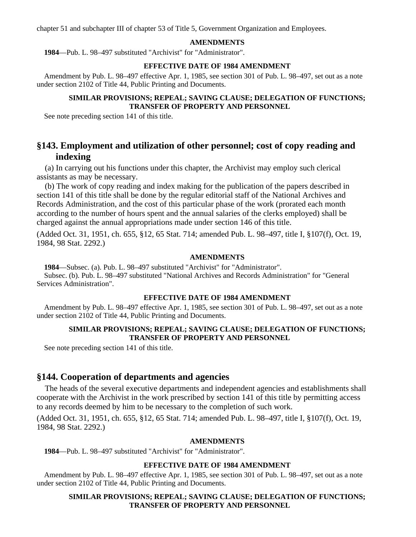chapter 51 and subchapter III of chapter 53 of Title 5, Government Organization and Employees.

#### **AMENDMENTS**

**1984**—Pub. L. 98–497 substituted "Archivist" for "Administrator".

#### **EFFECTIVE DATE OF 1984 AMENDMENT**

Amendment by Pub. L. 98–497 effective Apr. 1, 1985, see section 301 of Pub. L. 98–497, set out as a note under section 2102 of Title 44, Public Printing and Documents.

#### **SIMILAR PROVISIONS; REPEAL; SAVING CLAUSE; DELEGATION OF FUNCTIONS; TRANSFER OF PROPERTY AND PERSONNEL**

See note preceding section 141 of this title.

# **§143. Employment and utilization of other personnel; cost of copy reading and indexing**

(a) In carrying out his functions under this chapter, the Archivist may employ such clerical assistants as may be necessary.

(b) The work of copy reading and index making for the publication of the papers described in section 141 of this title shall be done by the regular editorial staff of the National Archives and Records Administration, and the cost of this particular phase of the work (prorated each month according to the number of hours spent and the annual salaries of the clerks employed) shall be charged against the annual appropriations made under section 146 of this title.

(Added Oct. 31, 1951, ch. 655, §12, 65 Stat. 714; amended Pub. L. 98–497, title I, §107(f), Oct. 19, 1984, 98 Stat. 2292.)

#### **AMENDMENTS**

**1984**—Subsec. (a). Pub. L. 98–497 substituted "Archivist" for "Administrator". Subsec. (b). Pub. L. 98–497 substituted "National Archives and Records Administration" for "General Services Administration".

#### **EFFECTIVE DATE OF 1984 AMENDMENT**

Amendment by Pub. L. 98–497 effective Apr. 1, 1985, see section 301 of Pub. L. 98–497, set out as a note under section 2102 of Title 44, Public Printing and Documents.

#### **SIMILAR PROVISIONS; REPEAL; SAVING CLAUSE; DELEGATION OF FUNCTIONS; TRANSFER OF PROPERTY AND PERSONNEL**

See note preceding section 141 of this title.

# **§144. Cooperation of departments and agencies**

The heads of the several executive departments and independent agencies and establishments shall cooperate with the Archivist in the work prescribed by section 141 of this title by permitting access to any records deemed by him to be necessary to the completion of such work.

(Added Oct. 31, 1951, ch. 655, §12, 65 Stat. 714; amended Pub. L. 98–497, title I, §107(f), Oct. 19, 1984, 98 Stat. 2292.)

#### **AMENDMENTS**

**1984**—Pub. L. 98–497 substituted "Archivist" for "Administrator".

#### **EFFECTIVE DATE OF 1984 AMENDMENT**

Amendment by Pub. L. 98–497 effective Apr. 1, 1985, see section 301 of Pub. L. 98–497, set out as a note under section 2102 of Title 44, Public Printing and Documents.

#### **SIMILAR PROVISIONS; REPEAL; SAVING CLAUSE; DELEGATION OF FUNCTIONS; TRANSFER OF PROPERTY AND PERSONNEL**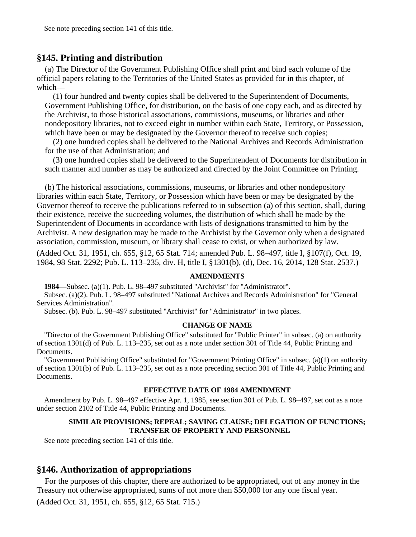# **§145. Printing and distribution**

(a) The Director of the Government Publishing Office shall print and bind each volume of the official papers relating to the Territories of the United States as provided for in this chapter, of which—

(1) four hundred and twenty copies shall be delivered to the Superintendent of Documents, Government Publishing Office, for distribution, on the basis of one copy each, and as directed by the Archivist, to those historical associations, commissions, museums, or libraries and other nondepository libraries, not to exceed eight in number within each State, Territory, or Possession, which have been or may be designated by the Governor thereof to receive such copies;

(2) one hundred copies shall be delivered to the National Archives and Records Administration for the use of that Administration; and

(3) one hundred copies shall be delivered to the Superintendent of Documents for distribution in such manner and number as may be authorized and directed by the Joint Committee on Printing.

(b) The historical associations, commissions, museums, or libraries and other nondepository libraries within each State, Territory, or Possession which have been or may be designated by the Governor thereof to receive the publications referred to in subsection (a) of this section, shall, during their existence, receive the succeeding volumes, the distribution of which shall be made by the Superintendent of Documents in accordance with lists of designations transmitted to him by the Archivist. A new designation may be made to the Archivist by the Governor only when a designated association, commission, museum, or library shall cease to exist, or when authorized by law.

(Added Oct. 31, 1951, ch. 655, §12, 65 Stat. 714; amended Pub. L. 98–497, title I, §107(f), Oct. 19, 1984, 98 Stat. 2292; Pub. L. 113–235, div. H, title I, §1301(b), (d), Dec. 16, 2014, 128 Stat. 2537.)

#### **AMENDMENTS**

**1984**—Subsec. (a)(1). Pub. L. 98–497 substituted "Archivist" for "Administrator".

Subsec. (a)(2). Pub. L. 98–497 substituted "National Archives and Records Administration" for "General Services Administration".

Subsec. (b). Pub. L. 98–497 substituted "Archivist" for "Administrator" in two places.

#### **CHANGE OF NAME**

"Director of the Government Publishing Office" substituted for "Public Printer" in subsec. (a) on authority of section 1301(d) of Pub. L. 113–235, set out as a note under section 301 of Title 44, Public Printing and Documents.

"Government Publishing Office" substituted for "Government Printing Office" in subsec. (a)(1) on authority of section 1301(b) of Pub. L. 113–235, set out as a note preceding section 301 of Title 44, Public Printing and Documents.

#### **EFFECTIVE DATE OF 1984 AMENDMENT**

Amendment by Pub. L. 98–497 effective Apr. 1, 1985, see section 301 of Pub. L. 98–497, set out as a note under section 2102 of Title 44, Public Printing and Documents.

#### **SIMILAR PROVISIONS; REPEAL; SAVING CLAUSE; DELEGATION OF FUNCTIONS; TRANSFER OF PROPERTY AND PERSONNEL**

See note preceding section 141 of this title.

# **§146. Authorization of appropriations**

For the purposes of this chapter, there are authorized to be appropriated, out of any money in the Treasury not otherwise appropriated, sums of not more than \$50,000 for any one fiscal year.

(Added Oct. 31, 1951, ch. 655, §12, 65 Stat. 715.)